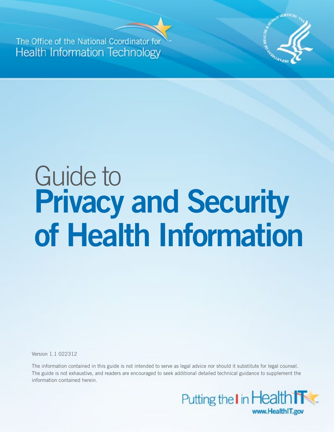**The Office of the National Coord Health Information Technology** 



# Guide to **Privacy and Security of Health Information**

Version 1.1 022312

The information contained in this guide is not intended to serve as legal advice nor should it substitute for legal counsel. The guide is not exhaustive, and readers are encouraged to seek additional detailed technical guidance to supplement the information contained herein.

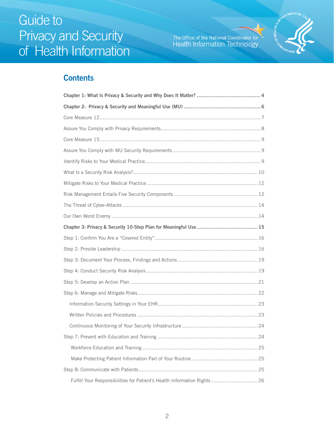The Office of the National Coordinator for<br>Health Information Technology



### **Contents**

| Fulfill Your Responsibilities for Patient's Health Information Rights  26 |  |  |
|---------------------------------------------------------------------------|--|--|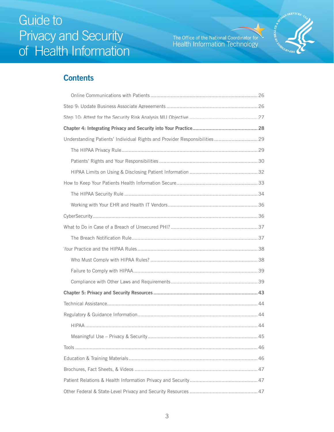The Office of the National Coordinator for<br>Health Information Technology



### **Contents**

| Understanding Patients' Individual Rights and Provider Responsibilities 29 |  |  |
|----------------------------------------------------------------------------|--|--|
|                                                                            |  |  |
|                                                                            |  |  |
|                                                                            |  |  |
|                                                                            |  |  |
|                                                                            |  |  |
|                                                                            |  |  |
|                                                                            |  |  |
|                                                                            |  |  |
|                                                                            |  |  |
|                                                                            |  |  |
|                                                                            |  |  |
|                                                                            |  |  |
|                                                                            |  |  |
|                                                                            |  |  |
|                                                                            |  |  |
|                                                                            |  |  |
|                                                                            |  |  |
|                                                                            |  |  |
|                                                                            |  |  |
|                                                                            |  |  |
|                                                                            |  |  |
|                                                                            |  |  |
|                                                                            |  |  |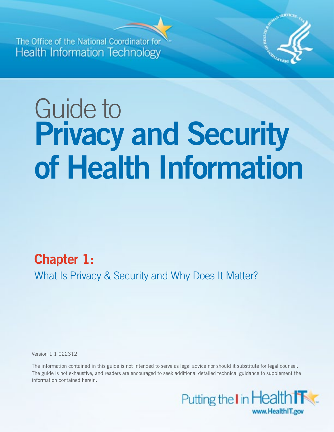<span id="page-3-0"></span>**The Office of the National Coord Health Information Technology** 



# Guide to **Privacy and Security of Health Information**

**Chapter 1:**  What Is Privacy & Security and Why Does It Matter?

Version 1.1 022312

The information contained in this guide is not intended to serve as legal advice nor should it substitute for legal counsel. The guide is not exhaustive, and readers are encouraged to seek additional detailed technical guidance to supplement the information contained herein.

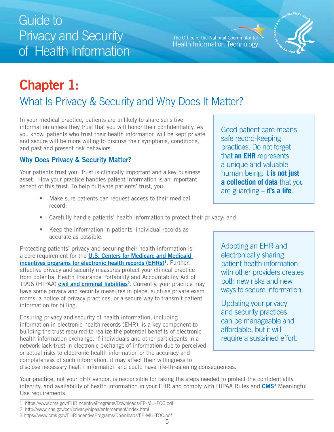Use requirements.

 Privacy and Security Guide to of Health Information

The Office of the National Coordinator for **Health Information Technology** 

### **Chapter 1:**  What Is Privacy & Security and Why Does It Matter?

In your medical practice, patients are unlikely to share sensitive information unless they trust that you will honor their confidentiality. As  $\bigcap$  Good patient care means you know, patients who trust their health information will be kept private and secure will be more willing to discuss their symptoms, conditions, and past and present risk behaviors.

### **Why Does Privacy & Security Matter?**

Your patients trust you. Trust is clinically important and a key business asset. How your practice handles patient information is an important aspect of this trust. To help cultivate patients' trust, you:

- Make sure patients can request access to their medical record;
- Carefully handle patients' health information to protect their privacy; and
- Keep the information in patients' individual records as accurate as possible.

Protecting patients' privacy and securing their health information is **Adopting an EHR and**<br>a core requirement for the **U.S. Centers for Medicare and Medicaid** electronically sharing a core requirement for the **U.S. Centers for Medicare and Medicaid incentives programs for electronic health records (EHRs)**<sup>1</sup>. Further, patient health information effective privacy and security measures protect your clinical practice effective privacy and security measures protect your clinical practice<br>from potential Health Insurance Portability and Accountability Act of both new risks and new 1996 (HIPAA) **civil and criminal liabilities**<sup>2</sup>. Currently, your practice may both new risks and new risks and new risks and new risks and new risks and new risks and new risks and security measures in place, such as priv have some privacy and security measures in place, such as private exam rooms, a notice of privacy practices, or a secure way to transmit patient information for billing.<br>information for billing.<br>and security practices

Ensuring privacy and security of health information, including<br>information in electronic health records (EHR), is a key component to<br>building the trust required to realize the potential benefits of electronic<br>affordable, b building the trust required to realize the potential benefits of electronic and afformation exchange. If individuals and other participants in a substained effort. health information exchange. If individuals and other participants in a network lack trust in electronic exchange of information due to perceived or actual risks to electronic health information or the accuracy and completeness of such information, it may affect their willingness to disclose necessary health information and could have life-threatening consequences.

practices. Do not forget that **an EHR** represents a unique and valuable human being: it **is not just a collection of data** that you are guarding – **it's a life**.

safe record-keeping



Your practice, not your EHR vendor, is responsible for taking the steps needed to protect the confidentiality, integrity, and availability of health information in your EHR and comply with HIPAA Rules and **CMS<sup>3</sup>** Meaningful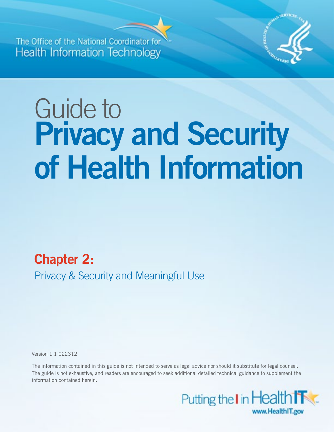<span id="page-5-0"></span>**The Office of the National Coord Health Information Technology** 



# Guide to **Privacy and Security of Health Information**

# **Chapter 2:**

Privacy & Security and Meaningful Use

Version 1.1 022312

The information contained in this guide is not intended to serve as legal advice nor should it substitute for legal counsel. The guide is not exhaustive, and readers are encouraged to seek additional detailed technical guidance to supplement the information contained herein.

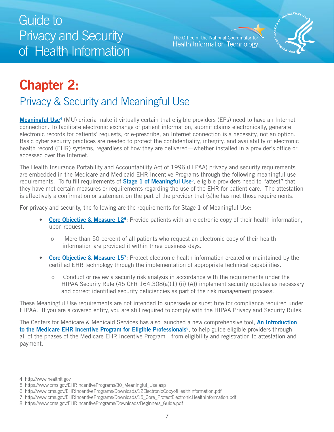The Office of the National Coordinator for **Health Information Technology** 



# <span id="page-6-0"></span>**Chapter 2:**

### Privacy & Security and Meaningful Use

**[Meaningful Use4](http://www.healthit.gov/)** (MU) criteria make it virtually certain that eligible providers (EPs) need to have an Internet connection. To facilitate electronic exchange of patient information, submit claims electronically, generate electronic records for patients' requests, or e-prescribe, an Internet connection is a necessity, not an option. Basic cyber security practices are needed to protect the confidentiality, integrity, and availability of electronic health record (EHR) systems, regardless of how they are delivered—whether installed in a provider's office or accessed over the Internet.

is effectively a confirmation or statement on the part of the provider that (s)he has met those requirements.<br>For privacy and security, the following are the requirements for Stage 1 of Meaningful Use: The Health Insurance Portability and Accountability Act of 1996 (HIPAA) privacy and security requirements are embedded in the Medicare and Medicaid EHR Incentive Programs through the following meaningful use requirements. To fulfill requirements of **Stage 1 of Meaningful Use**<sup>5</sup>, eligible providers need to "attest" that they have met certain measures or requirements regarding the use of the EHR for patient care. The attestation

- **Core Objective & Measure 12<sup>6</sup>:** Provide patients with an electronic copy of their health information, upon request.
	- o More than 50 percent of all patients who request an electronic copy of their health information are provided it within three business days.
- **Core Objective & Measure 15**7: Protect electronic health information created or maintained by the certified EHR technology through the implementation of appropriate technical capabilities.
	- o Conduct or review a security risk analysis in accordance with the requirements under the HIPAA Security Rule (45 CFR 164.308(a)(1) (ii) (A)) implement security updates as necessary and correct identified security deficiencies as part of the risk management process.

These Meaningful Use requirements are not intended to supersede or substitute for compliance required under

HIPAA.If you are a covered entity, you are still required to comply with the HIPAA Privacy and Security Rules.<br>The Centers for Medicare & Medicaid Services has also launched a new comprehensive tool, <mark>An Introduction</mark> **to the Medicare EHR Incentive Program for Eligible Professionals<sup>8</sup>, to help guide eligible providers through** all of the phases of the Medicare EHR Incentive Program—from eligibility and registration to attestation and payment.

<sup>4</sup> http://www.healthit.gov

<sup>5</sup> https://www.cms.gov/EHRIncentivePrograms/30\_Meaningful\_Use.asp

<sup>6</sup> http://www.cms.gov/EHRIncentivePrograms/Downloads/12ElectronicCopyofHealthInformation.pdf

<sup>7</sup> http://www.cms.gov/EHRIncentivePrograms/Downloads/15\_Core\_ProtectElectronicHealthInformation.pdf

<sup>8</sup> https://www.cms.gov/EHRIncentivePrograms/Downloads/Beginners\_Guide.pdf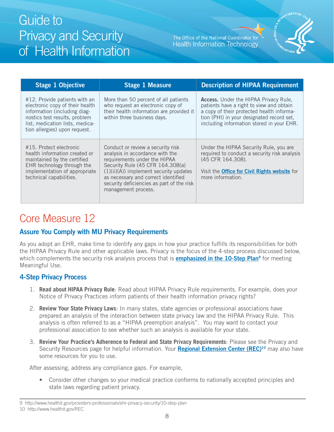The Office of the National Coordinator for **Health Information Technology** 



<span id="page-7-0"></span>

| <b>Stage 1 Objective</b>                                                                                                                                                                              | <b>Stage 1 Measure</b>                                                                                                                                                                                                                                                                         | <b>Description of HIPAA Requirement</b>                                                                                                                                                                                         |
|-------------------------------------------------------------------------------------------------------------------------------------------------------------------------------------------------------|------------------------------------------------------------------------------------------------------------------------------------------------------------------------------------------------------------------------------------------------------------------------------------------------|---------------------------------------------------------------------------------------------------------------------------------------------------------------------------------------------------------------------------------|
| #12. Provide patients with an<br>electronic copy of their health<br>information (including diag-<br>nostics test results, problem<br>list, medication lists, medica-<br>tion allergies) upon request. | More than 50 percent of all patients<br>who request an electronic copy of<br>their health information are provided it<br>within three business days.                                                                                                                                           | <b>Access.</b> Under the HIPAA Privacy Rule,<br>patients have a right to view and obtain<br>a copy of their protected health informa-<br>tion (PHI) in your designated record set,<br>including information stored in your EHR. |
| #15. Protect electronic<br>health information created or<br>maintained by the certified<br>EHR technology through the<br>implementation of appropriate<br>technical capabilities.                     | Conduct or review a security risk<br>analysis in accordance with the<br>requirements under the HIPAA<br>Security Rule (45 CFR 164.308(a)<br>$(1)(ii)(A)$ implement security updates<br>as necessary and correct identified<br>security deficiencies as part of the risk<br>management process. | Under the HIPAA Security Rule, you are<br>required to conduct a security risk analysis<br>(45 CFR 164.308).<br>Visit the <b>Office for Civil Rights website</b> for<br>more information.                                        |

### Core Measure 12

### **Assure You Comply with MU Privacy Requirements**

As you adopt an EHR, make time to identify any gaps in how your practice fulfills its responsibilities for both the HIPAA Privacy Rule and other applicable laws. Privacy is the focus of the 4-step process discussed below, which complements the security risk analysis process that is **[emphasized in the 10-Step Plan](http://www.healthit.gov/providers-professionals/ehr-privacy-security/10-step-plan)9** for meeting Meaningful Use.

### **4-Step Privacy Process**

- 1. **Read about HIPAA Privacy Rule**: Read about HIPAA Privacy Rule requirements. For example, does your Notice of Privacy Practices inform patients of their health information privacy rights?
- 2. **Review Your State Privacy Laws**: In many states, state agencies or professional associations have prepared an analysis of the interaction between state privacy law and the HIPAA Privacy Rule. This analysis is often referred to as a "HIPAA preemption analysis". You may want to contact your professional association to see whether such an analysis is available for your state.
- 3. **Review Your Practice's Adherence to Federal and State Privacy Requirements**: Please see the Privacy and Security Resources page for helpful information. Your **[Regional Extension Center \(REC\)1](http://www.healthit.gov/REC)0** may also have some resources for you to use.

After assessing, address any compliance gaps. For example,

• Consider other changes so your medical practice conforms to nationally accepted principles and state laws regarding patient privacy.

<sup>9</sup> http://www.healthit.gov/providers-professionals/ehr-privacy-security/10-step-plan 10 http://www.healthit.gov/REC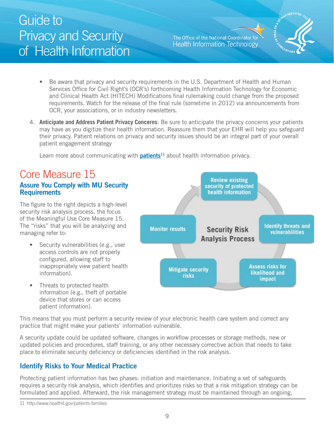The Office of the National Coordinator for **Health Information Technology** 



- <span id="page-8-0"></span>• Be aware that privacy and security requirements in the U.S. Department of Health and Human Services Office for Civil Right's (OCR's) forthcoming Health Information Technology for Economic and Clinical Health Act (HITECH) Modifications final rulemaking could change from the proposed requirements. Watch for the release of the final rule (sometime in 2012) via announcements from OCR, your associations, or in industry newsletters.
- 4. **Anticipate and Address Patient Privacy Concerns**: Be sure to anticipate the privacy concerns your patients may have as you digitize their health information. Reassure them that your EHR will help you safeguard their privacy. Patient relations on privacy and security issues should be an integral part of your overall patient engagement strategy

Learn more about communicating with **patients<sup>11</sup>** about health information privacy.

### Core Measure 15

### **Assure You Comply with MU Security Requirements**

The figure to the right depicts a high-level security risk analysis process, the focus of the Meaningful Use Core Measure 15. The "risks" that you will be analyzing and managing refer to:

- Security vulnerabilities (e.g., user access controls are not properly configured, allowing staff to inappropriately view patient health information).
- Threats to protected health information (e.g., theft of portable device that stores or can access patient information).



This means that you must perform a security review of your electronic health care system and correct any practice that might make your patients' information vulnerable.

A security update could be updated software, changes in workflow processes or storage methods, new or updated policies and procedures, staff training, or any other necessary corrective action that needs to take place to eliminate security deficiency or deficiencies identified in the risk analysis.

### **Identify Risks to Your Medical Practice**

Protecting patient information has two phases: initiation and maintenance. Initiating a set of safeguards requires a security risk analysis, which identifies and prioritizes risks so that a risk mitigation strategy can be formulated and applied. Afterward, the risk management strategy must be maintained through an ongoing,

<sup>11</sup> http://www.healthit.gov/patients-families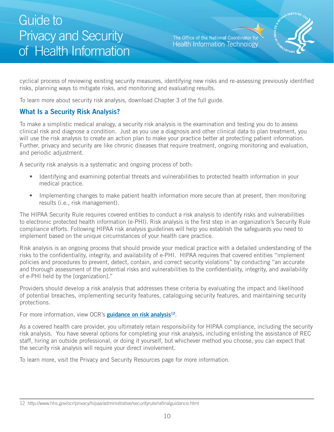The Office of the National Coordinator for **Health Information Technology** 



<span id="page-9-0"></span>risks, planning ways to mitigate risks, and monitoring and evaluating results. cyclical process of reviewing existing security measures, identifying new risks and re-assessing previously identified

To learn more about security risk analysis, download Chapter 3 of the full guide.

### **What Is a Security Risk Analysis?**

will use the risk analysis to create an action plan to make your practice better at protecting patient information. To make a simplistic medical analogy, a security risk analysis is the examination and testing you do to assess clinical risk and diagnose a condition. Just as you use a diagnosis and other clinical data to plan treatment, you Further, privacy and security are like chronic diseases that require treatment, ongoing monitoring and evaluation, and periodic adjustment.

A security risk analysis is a systematic and ongoing process of both:

- Identifying and examining potential threats and vulnerabilities to protected health information in your medical practice.
- Implementing changes to make patient health information more secure than at present, then monitoring results (i.e., risk management).

The HIPAA Security Rule requires covered entities to conduct a risk analysis to identify risks and vulnerabilities to electronic protected health information (e-PHI). Risk analysis is the first step in an organization's Security Rule compliance efforts. Following HIPAA risk analysis guidelines will help you establish the safeguards you need to implement based on the unique circumstances of your health care practice.

Risk analysis is an ongoing process that should provide your medical practice with a detailed understanding of the risks to the confidentiality, integrity, and availability of e-PHI. HIPAA requires that covered entities "implement policies and procedures to prevent, detect, contain, and correct security violations" by conducting "an accurate and thorough assessment of the potential risks and vulnerabilities to the confidentiality, integrity, and availability of e-PHI held by the [organization]."

Providers should develop a risk analysis that addresses these criteria by evaluating the impact and likelihood of potential breaches, implementing security features, cataloguing security features, and maintaining security protections.

For more information, view OCR's **guidance on risk analysis<sup>12</sup>**.

As a covered health care provider, you ultimately retain responsibility for HIPAA compliance, including the security risk analysis. You have several options for completing your risk analysis, including enlisting the assistance of REC staff, hiring an outside professional, or doing it yourself, but whichever method you choose, you can expect that the security risk analysis will require your direct involvement.

To learn more, visit the Privacy and Security Resources page for more information.

<sup>12</sup> http://www.hhs.gov/ocr/privacy/hipaa/administrative/securityrule/rafinalguidance.html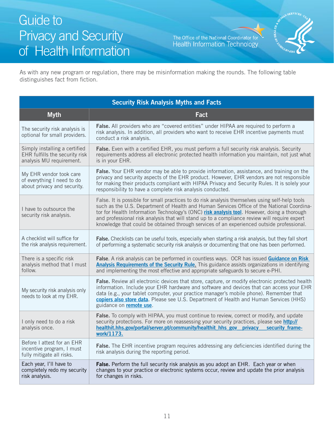The Office of the National Coordinator for Health Information Technology



As with any new program or regulation, there may be misinformation making the rounds. The following table distinguishes fact from fiction.

| <b>Security Risk Analysis Myths and Facts</b>                                               |                                                                                                                                                                                                                                                                                                                                                                                                                                                                                         |  |
|---------------------------------------------------------------------------------------------|-----------------------------------------------------------------------------------------------------------------------------------------------------------------------------------------------------------------------------------------------------------------------------------------------------------------------------------------------------------------------------------------------------------------------------------------------------------------------------------------|--|
| <b>Myth</b>                                                                                 | Fact                                                                                                                                                                                                                                                                                                                                                                                                                                                                                    |  |
| The security risk analysis is<br>optional for small providers.                              | False. All providers who are "covered entities" under HIPAA are required to perform a<br>risk analysis. In addition, all providers who want to receive EHR incentive payments must<br>conduct a risk analysis.                                                                                                                                                                                                                                                                          |  |
| Simply installing a certified<br>EHR fulfills the security risk<br>analysis MU requirement. | False. Even with a certified EHR, you must perform a full security risk analysis. Security<br>requirements address all electronic protected health information you maintain, not just what<br>is in your EHR.                                                                                                                                                                                                                                                                           |  |
| My EHR vendor took care<br>of everything I need to do<br>about privacy and security.        | False. Your EHR vendor may be able to provide information, assistance, and training on the<br>privacy and security aspects of the EHR product. However, EHR vendors are not responsible<br>for making their products compliant with HIPAA Privacy and Security Rules. It is solely your<br>responsibility to have a complete risk analysis conducted.                                                                                                                                   |  |
| I have to outsource the<br>security risk analysis.                                          | False. It is possible for small practices to do risk analysis themselves using self-help tools<br>such as the U.S. Department of Health and Human Services Office of the National Coordina-<br>tor for Health Information Technology's (ONC) risk analysis tool. However, doing a thorough<br>and professional risk analysis that will stand up to a compliance review will require expert<br>knowledge that could be obtained through services of an experienced outside professional. |  |
| A checklist will suffice for<br>the risk analysis requirement.                              | False. Checklists can be useful tools, especially when starting a risk analysis, but they fall short<br>of performing a systematic security risk analysis or documenting that one has been performed.                                                                                                                                                                                                                                                                                   |  |
| There is a specific risk<br>analysis method that I must<br>follow.                          | False. A risk analysis can be performed in countless ways. OCR has issued Guidance on Risk<br><b>Analysis Requirements of the Security Rule.</b> This guidance assists organizations in identifying<br>and implementing the most effective and appropriate safeguards to secure e-PHI.                                                                                                                                                                                                  |  |
| My security risk analysis only<br>needs to look at my EHR.                                  | False. Review all electronic devices that store, capture, or modify electronic protected health<br>information. Include your EHR hardware and software and devices that can access your EHR<br>data (e.g., your tablet computer, your practice manager's mobile phone). Remember that<br>copiers also store data. Please see U.S. Department of Health and Human Services (HHS)<br>guidance on <b>remote use</b> .                                                                      |  |
| I only need to do a risk<br>analysis once.                                                  | False. To comply with HIPAA, you must continue to review, correct or modify, and update<br>security protections. For more on reassessing your security practices, please see http://<br>healthit.hhs.gov/portal/server.pt/community/healthit hhs gov privacy security frame-<br>work/1173.                                                                                                                                                                                              |  |
| Before I attest for an EHR<br>incentive program, I must<br>fully mitigate all risks.        | False. The EHR incentive program requires addressing any deficiencies identified during the<br>risk analysis during the reporting period.                                                                                                                                                                                                                                                                                                                                               |  |
| Each year, I'll have to<br>completely redo my security<br>risk analysis.                    | False. Perform the full security risk analysis as you adopt an EHR. Each year or when<br>changes to your practice or electronic systems occur, review and update the prior analysis<br>for changes in risks.                                                                                                                                                                                                                                                                            |  |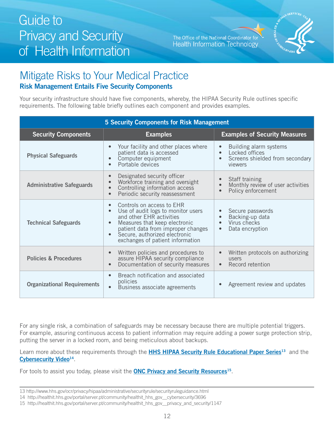The Office of the National Coordinator for **Health Information Technology** 



### <span id="page-11-0"></span>Mitigate Risks to Your Medical Practice **Risk Management Entails Five Security Components**

Your security infrastructure should have five components, whereby, the HIPAA Security Rule outlines specific requirements. The following table briefly outlines each component and provides examples.

| <b>5 Security Components for Risk Management</b> |                                                                                                                                                                                                                                         |                                                                                        |
|--------------------------------------------------|-----------------------------------------------------------------------------------------------------------------------------------------------------------------------------------------------------------------------------------------|----------------------------------------------------------------------------------------|
| <b>Security Components</b>                       | <b>Examples</b>                                                                                                                                                                                                                         | <b>Examples of Security Measures</b>                                                   |
| <b>Physical Safeguards</b>                       | Your facility and other places where<br>patient data is accessed<br>Computer equipment<br>Portable devices                                                                                                                              | Building alarm systems<br>Locked offices<br>Screens shielded from secondary<br>viewers |
| <b>Administrative Safeguards</b>                 | Designated security officer<br>Workforce training and oversight<br>Controlling information access<br>Periodic security reassessment<br>$\bullet$                                                                                        | Staff training<br>Monthly review of user activities<br>Policy enforcement              |
| <b>Technical Safeguards</b>                      | Controls on access to EHR<br>Use of audit logs to monitor users<br>and other EHR activities<br>Measures that keep electronic<br>patient data from improper changes<br>Secure, authorized electronic<br>exchanges of patient information | Secure passwords<br>Backing-up data<br>Virus checks<br>Data encryption                 |
| <b>Policies &amp; Procedures</b>                 | Written policies and procedures to<br>assure HIPAA security compliance<br>Documentation of security measures                                                                                                                            | Written protocols on authorizing<br><b>USers</b><br>Record retention                   |
| <b>Organizational Requirements</b>               | Breach notification and associated<br>policies<br>Business associate agreements                                                                                                                                                         | Agreement review and updates                                                           |

For any single risk, a combination of safeguards may be necessary because there are multiple potential triggers. For example, assuring continuous access to patient information may require adding a power surge protection strip, putting the server in a locked room, and being meticulous about backups.

Learn more about these requirements through the **HHS HIPAA Security Rule Educational Paper Series**<sup>13</sup> and the **[Cybersecurity Video1](http://healthit.hhs.gov/portal/server.pt/community/healthit_hhs_gov__cybersecurity/3696)4** .

For tools to assist you today, please visit the **[ONC Privacy and Security Resources1](http://healthit.hhs.gov/portal/server.pt/community/healthit_hhs_gov__privacy_and_security/1147)5** .

<sup>13</sup> http://www.hhs.gov/ocr/privacy/hipaa/administrative/securityrule/securityruleguidance.html

<sup>14</sup> http://healthit.hhs.gov/portal/server.pt/community/healthit\_hhs\_gov\_\_cybersecurity/3696

<sup>15</sup> http://healthit.hhs.gov/portal/server.pt/community/healthit\_hhs\_gov\_\_privacy\_and\_security/1147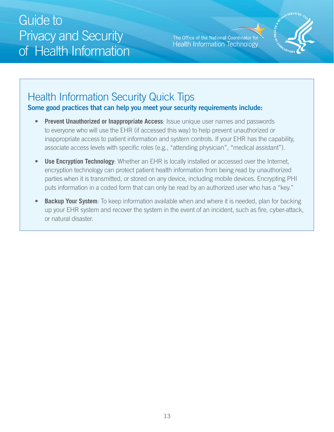The Office of the National Coordinator for **Health Information Technology** 



### Health Information Security Quick Tips **Some good practices that can help you meet your security requirements include:**

- **Prevent Unauthorized or Inappropriate Access: Issue unique user names and passwords** to everyone who will use the EHR (if accessed this way) to help prevent unauthorized or inappropriate access to patient information and system controls. If your EHR has the capability, associate access levels with specific roles (e.g., "attending physician", "medical assistant").
- **Use Encryption Technology:** Whether an EHR is locally installed or accessed over the Internet, encryption technology can protect patient health information from being read by unauthorized parties when it is transmitted, or stored on any device, including mobile devices. Encrypting PHI puts information in a coded form that can only be read by an authorized user who has a "key."
- **Backup Your System**: To keep information available when and where it is needed, plan for backing up your EHR system and recover the system in the event of an incident, such as fire, cyber-attack, or natural disaster.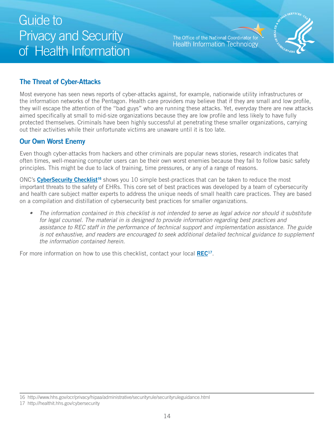The Office of the National Coordinator for **Health Information Technology** 



### <span id="page-13-0"></span>**The Threat of Cyber-Attacks**

Most everyone has seen news reports of cyber-attacks against, for example, nationwide utility infrastructures or the information networks of the Pentagon. Health care providers may believe that if they are small and low profile, they will escape the attention of the "bad guys" who are running these attacks. Yet, everyday there are new attacks aimed specifically at small to mid-size organizations because they are low profile and less likely to have fully protected themselves. Criminals have been highly successful at penetrating these smaller organizations, carrying out their activities while their unfortunate victims are unaware until it is too late.

### **Our Own Worst Enemy**

Even though cyber-attacks from hackers and other criminals are popular news stories, research indicates that often times, well-meaning computer users can be their own worst enemies because they fail to follow basic safety principles. This might be due to lack of training, time pressures, or any of a range of reasons.

ONC's **[CyberSecurity Checklist](http://www.hhs.gov/ocr/privacy/hipaa/administrative/securityrule/securityruleguidance.html)16** shows you 10 simple best-practices that can be taken to reduce the most important threats to the safety of EHRs. This core set of best practices was developed by a team of cybersecurity and health care subject matter experts to address the unique needs of small health care practices. They are based on a compilation and distillation of cybersecurity best practices for smaller organizations.

• The information contained in this checklist is not intended to serve as legal advice nor should it substitute for legal counsel. The material in is designed to provide information regarding best practices and assistance to REC staff in the performance of technical support and implementation assistance. The guide is not exhaustive, and readers are encouraged to seek additional detailed technical guidance to supplement the information contained herein.

For more information on how to use this checklist, contact your local **[REC17](http://healthit.hhs.gov/portal/server.pt/community/healthit_hhs_gov__cybersecurity/3696)**.

<sup>16</sup> http://www.hhs.gov/ocr/privacy/hipaa/administrative/securityrule/securityruleguidance.html

<sup>17</sup> http://healthit.hhs.gov/cybersecurity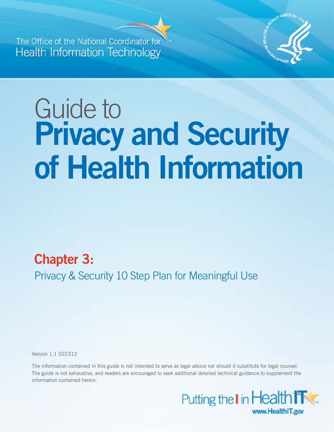<span id="page-14-0"></span>**The Office of the National Coord Health Information Technology** 



# Guide to **Privacy and Security of Health Information**

### **Chapter 3:**

Privacy & Security 10 Step Plan for Meaningful Use

Version 1.1 022312

The information contained in this guide is not intended to serve as legal advice nor should it substitute for legal counsel. The guide is not exhaustive, and readers are encouraged to seek additional detailed technical guidance to supplement the information contained herein.

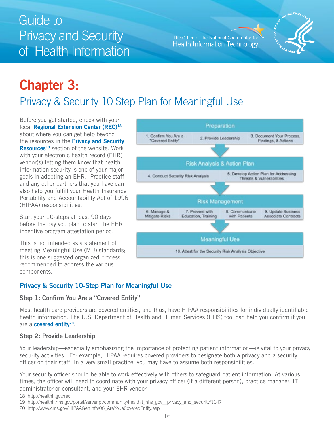The Office of the National Coordinator for Health Information Technology



# <span id="page-15-0"></span>**Chapter 3:**  Privacy & Security 10 Step Plan for Meaningful Use

Before you get started, check with your local **[Regional Extension Center \(REC\)18](http://www.healthit.gov/REC)**  about where you can get help beyond the resources in the **[Privacy and Security](http://healthit.hhs.gov/portal/server.pt/community/healthit_hhs_gov__privacy_and_security/1147)  [Resources1](http://healthit.hhs.gov/portal/server.pt/community/healthit_hhs_gov__privacy_and_security/1147)9** section of the website. Work with your electronic health record (EHR) vendor(s) letting them know that health information security is one of your major goals in adopting an EHR. Practice staff and any other partners that you have can also help you fulfill your Health Insurance Portability and Accountability Act of 1996 (HIPAA) responsibilities.

Start your 10-steps at least 90 days before the day you plan to start the EHR incentive program attestation period.

This is not intended as a statement of meeting Meaningful Use (MU) standards; this is one suggested organized process recommended to address the various components.



### **Privacy & Security 10-Step Plan for Meaningful Use**

#### **Step 1: Confirm You Are a "Covered Entity"**

Most health care providers are covered entities, and thus, have HIPAA responsibilities for individually identifiable health information. The U.S. Department of Health and Human Services (HHS) tool can help you confirm if you are a **[covered entity2](http://www.cms.gov/HIPAAGenInfo/06_AreYouaCoveredEntity.asp)0**.

#### **Step 2: Provide Leadership**

Your leadership—especially emphasizing the importance of protecting patient information—is vital to your privacy security activities. For example, HIPAA requires covered providers to designate both a privacy and a security officer on their staff. In a very small practice, you may have to assume both responsibilities.

Your security officer should be able to work effectively with others to safeguard patient information. At various times, the officer will need to coordinate with your privacy officer (if a different person), practice manager, IT administrator or consultant, and your EHR vendor.

<sup>18</sup> http://healthit.gov/rec

<sup>19</sup> http://healthit.hhs.gov/portal/server.pt/community/healthit\_hhs\_gov\_\_privacy\_and\_security/1147

<sup>20</sup> http://www.cms.gov/HIPAAGenInfo/06\_AreYouaCoveredEntity.asp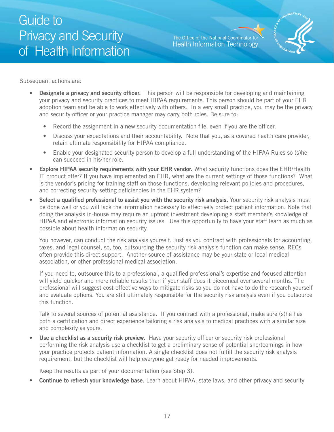The Office of the National Coordinator for **Health Information Technology** 



Subsequent actions are:

- **Designate a privacy and security officer.** This person will be responsible for developing and maintaining your privacy and security practices to meet HIPAA requirements. This person should be part of your EHR adoption team and be able to work effectively with others. In a very small practice, you may be the privacy and security officer or your practice manager may carry both roles. Be sure to:
	- Record the assignment in a new security documentation file, even if you are the officer.
	- Discuss your expectations and their accountability. Note that you, as a covered health care provider, retain ultimate responsibility for HIPAA compliance.
	- Enable your designated security person to develop a full understanding of the HIPAA Rules so (s)he can succeed in his/her role.
- and correcting security-setting deficiencies in the EHR system? **Explore HIPAA security requirements with your EHR vendor.** What security functions does the EHR/Health IT product offer? If you have implemented an EHR, what are the current settings of those functions? What is the vendor's pricing for training staff on those functions, developing relevant policies and procedures,
- **Select a qualified professional to assist you with the security risk analysis.** Your security risk analysis must be done well or you will lack the information necessary to effectively protect patient information. Note that doing the analysis in-house may require an upfront investment developing a staff member's knowledge of HIPAA and electronic information security issues. Use this opportunity to have your staff learn as much as possible about health information security.

association, or other professional medical association. You however, can conduct the risk analysis yourself. Just as you contract with professionals for accounting, taxes, and legal counsel, so, too, outsourcing the security risk analysis function can make sense. RECs often provide this direct support. Another source of assistance may be your state or local medical

If you need to, outsource this to a professional, a qualified professional's expertise and focused attention will yield quicker and more reliable results than if your staff does it piecemeal over several months. The professional will suggest cost-effective ways to mitigate risks so you do not have to do the research yourself and evaluate options. You are still ultimately responsible for the security risk analysis even if you outsource this function.

Talk to several sources of potential assistance. If you contract with a professional, make sure (s)he has both a certification and direct experience tailoring a risk analysis to medical practices with a similar size and complexity as yours.

**Use a checklist as a security risk preview.** Have your security officer or security risk professional performing the risk analysis use a checklist to get a preliminary sense of potential shortcomings in how your practice protects patient information. A single checklist does not fulfill the security risk analysis requirement, but the checklist will help everyone get ready for needed improvements.

Keep the results as part of your documentation (see Step 3).

**Continue to refresh your knowledge base.** Learn about HIPAA, state laws, and other privacy and security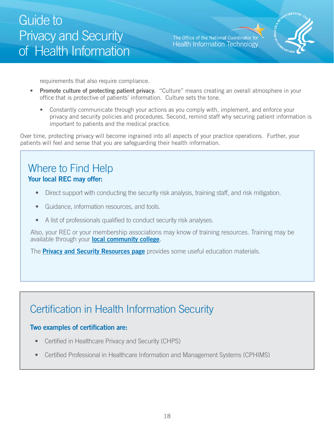The Office of the National Coordinator for **Health Information Technology** 



requirements that also require compliance.

- **Promote culture of protecting patient privacy.** "Culture" means creating an overall atmosphere in your office that is protective of patients' information. Culture sets the tone.
	- Constantly communicate through your actions as you comply with, implement, and enforce your privacy and security policies and procedures. Second, remind staff why securing patient information is important to patients and the medical practice.

Over time, protecting privacy will become ingrained into all aspects of your practice operations. Further, your patients will feel and sense that you are safeguarding their health information.

### Where to Find Help **Your local REC may offer:**

- Direct support with conducting the security risk analysis, training staff, and risk mitigation.
- Guidance, information resources, and tools.
- A list of professionals qualified to conduct security risk analyses.

Also, your REC or your membership associations may know of training resources. Training may be available through your **[local community college](http://healthit.hhs.gov/portal/server.pt?open=512&objID=1804&mode=2)**.

The **[Privacy and Security Resources page](http://healthit.hhs.gov/portal/server.pt/community/healthit_hhs_gov__privacy_and_security/1147)** provides some useful education materials.

### Certification in Health Information Security

#### **Two examples of certification are:**

- Certified in Healthcare Privacy and Security (CHPS)
- Certified Professional in Healthcare Information and Management Systems (CPHIMS)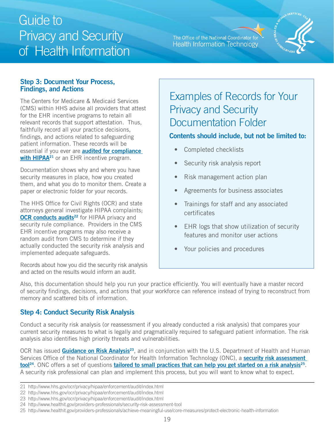#### The Office of the National Coordinator for **Health Information Technology**



#### <span id="page-18-0"></span>**Step 3: Document Your Process, Findings, and Actions**

The Centers for Medicare & Medicaid Services (CMS) within HHS advise all providers that attest for the EHR incentive programs to retain all relevant records that support attestation. Thus, faithfully record all your practice decisions, findings, and actions related to safeguarding patient information. These records will be essential if you ever are **[audited for compliance](http://www.hhs.gov/ocr/privacy/hipaa/enforcement/audit/index.html)  with HIPAA<sup>21</sup>** or an EHR incentive program.

Documentation shows why and where you have security measures in place, how you created them, and what you do to monitor them. Create a paper or electronic folder for your records.

The HHS Office for Civil Rights (OCR) and state attorneys general investigate HIPAA complaints; **OCR conducts audits<sup>22</sup> for HIPAA privacy and** security rule compliance. Providers in the CMS EHR incentive programs may also receive a random audit from CMS to determine if they actually conducted the security risk analysis and implemented adequate safeguards.

Records about how you did the security risk analysis and acted on the results would inform an audit.

### Examples of Records for Your Privacy and Security Documentation Folder

### **Contents should include, but not be limited to:**

- Completed checklists
- Security risk analysis report
- Risk management action plan
- Agreements for business associates
- Trainings for staff and any associated certificates
- EHR logs that show utilization of security features and monitor user actions
- Your policies and procedures

Also, this documentation should help you run your practice efficiently. You will eventually have a master record of security findings, decisions, and actions that your workforce can reference instead of trying to reconstruct from memory and scattered bits of information.

### **Step 4: Conduct Security Risk Analysis**

analysis also identifies high priority threats and vulnerabilities. Conduct a security risk analysis (or reassessment if you already conducted a risk analysis) that compares your current security measures to what is legally and pragmatically required to safeguard patient information. The risk

<u>tool</u><sup>24</sup>[.](http://www.healthit.gov/providers-professionals/achieve-meaningful-use/core-measures/protect-electronic-health-information) ONC offers a set of questions <mark>tailored to small practices that can help you get started on a risk analysis<sup>25</sup>.<br>A security risk professional can plan and implement this process, but you will want to know what </mark> OCR has issued **Guidance on Risk Analysis**<sup>23</sup>, and in conjunction with the U.S. Department of Health and Human Services Office of the National Coordinator for Health Information Technology (ONC), a **[security risk assessment](http://www.healthit.gov/providers-professionals/security-risk-assessment-tool)** 

<sup>21</sup> http://www.hhs.gov/ocr/privacy/hipaa/enforcement/audit/index.html

<sup>22</sup> http://www.hhs.gov/ocr/privacy/hipaa/enforcement/audit/index.html

<sup>23</sup> http://www.hhs.gov/ocr/privacy/hipaa/enforcement/audit/index.html

<sup>24</sup> http://www.healthit.gov/providers-professionals/security-risk-assessment-tool

<sup>25</sup> http://www.healthit.gov/providers-professionals/achieve-meaningful-use/core-measures/protect-electronic-health-information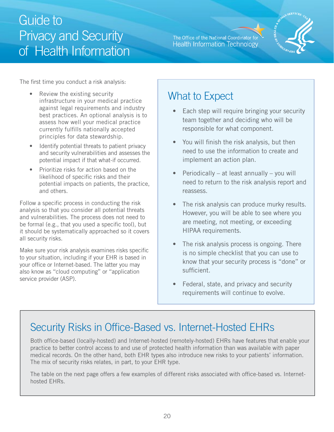The Office of the National Coordinator for **Health Information Technology** 



The first time you conduct a risk analysis:

- Review the existing security infrastructure in your medical practice against legal requirements and industry best practices. An optional analysis is to assess how well your medical practice currently fulfills nationally accepted principles for data stewardship.
- Identify potential threats to patient privacy potential impact if that what-if occurred. and security vulnerabilities and assesses the
- Prioritize risks for action based on the likelihood of specific risks and their potential impacts on patients, the practice, and others.

Follow a specific process in conducting the risk analysis so that you consider all potential threats and vulnerabilities. The process does not need to be formal (e.g., that you used a specific tool), but it should be systematically approached so it covers all security risks.

Make sure your risk analysis examines risks specific to your situation, including if your EHR is based in your office or Internet-based. The latter you may also know as "cloud computing" or "application service provider (ASP).

### What to Expect

- Each step will require bringing your security team together and deciding who will be responsible for what component.
- You will finish the risk analysis, but then need to use the information to create and implement an action plan.
- Periodically at least annually you will need to return to the risk analysis report and reassess.
- The risk analysis can produce murky results. However, you will be able to see where you are meeting, not meeting, or exceeding HIPAA requirements.
- The risk analysis process is ongoing. There is no simple checklist that you can use to know that your security process is "done" or sufficient.
- Federal, state, and privacy and security requirements will continue to evolve.

### Security Risks in Office-Based vs. Internet-Hosted EHRs

Both office-based (locally-hosted) and Internet-hosted (remotely-hosted) EHRs have features that enable your practice to better control access to and use of protected health information than was available with paper medical records. On the other hand, both EHR types also introduce new risks to your patients' information. The mix of security risks relates, in part, to your EHR type.

The table on the next page offers a few examples of different risks associated with office-based vs. Internethosted EHRs.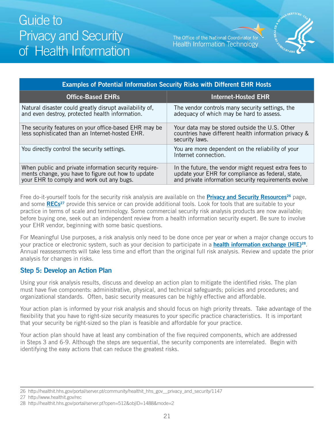The Office of the National Coordinator for **Health Information Technology** 



<span id="page-20-0"></span>

| <b>Examples of Potential Information Security Risks with Different EHR Hosts</b>                                                                         |                                                                                                                                                                    |  |
|----------------------------------------------------------------------------------------------------------------------------------------------------------|--------------------------------------------------------------------------------------------------------------------------------------------------------------------|--|
| <b>Office-Based EHRs</b>                                                                                                                                 | <b>Internet-Hosted EHR</b>                                                                                                                                         |  |
| Natural disaster could greatly disrupt availability of,<br>and even destroy, protected health information.                                               | The vendor controls many security settings, the<br>adequacy of which may be hard to assess.                                                                        |  |
| The security features on your office-based EHR may be<br>less sophisticated than an Internet-hosted EHR.                                                 | Your data may be stored outside the U.S. Other<br>countries have different health information privacy &<br>security laws.                                          |  |
| You directly control the security settings.                                                                                                              | You are more dependent on the reliability of your<br>Internet connection.                                                                                          |  |
| When public and private information security require-<br>ments change, you have to figure out how to update<br>your EHR to comply and work out any bugs. | In the future, the vendor might request extra fees to<br>update your EHR for compliance as federal, state,<br>and private information security requirements evolve |  |

Free do-it-yourself tools for the security risk analysis are available on the **Privacy and Security Resources**<sup>26</sup> page, and some RECs<sup>27</sup> provide this service or can provide additional tools. Look for tools that are suitable to your practice in terms of scale and terminology. Some commercial security risk analysis products are now available; before buying one, seek out an independent review from a health information security expert. Be sure to involve your EHR vendor, beginning with some basic questions.

For Meaningful Use purposes, a risk analysis only need to be done once per year or when a major change occurs to your practice or electronic system, such as your decision to participate in a **[health information exchange \(HIE\)28](http://healthit.hhs.gov/portal/server.pt?open=512&objID=1488&mode=2)** . Annual reassessments will take less time and effort than the original full risk analysis. Review and update the prior analysis for changes in risks.

#### **Step 5: Develop an Action Plan**

Using your risk analysis results, discuss and develop an action plan to mitigate the identified risks. The plan must have five components: administrative, physical, and technical safeguards; policies and procedures; and organizational standards. Often, basic security measures can be highly effective and affordable.

Your action plan is informed by your risk analysis and should focus on high priority threats. Take advantage of the flexibility that you have to right-size security measures to your specific practice characteristics. It is important that your security be right-sized so the plan is feasible and affordable for your practice.

Your action plan should have at least any combination of the five required components, which are addressed in Steps 3 and 6-9. Although the steps are sequential, the security components are interrelated. Begin with identifying the easy actions that can reduce the greatest risks.

<sup>26</sup> http://healthit.hhs.gov/portal/server.pt/community/healthit\_hhs\_gov\_\_privacy\_and\_security/1147

<sup>27</sup> http://www.healthit.gov/rec

<sup>28</sup> http://healthit.hhs.gov/portal/server.pt?open=512&objID=1488&mode=2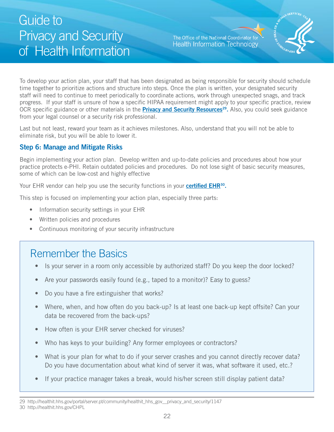The Office of the National Coordinator for **Health Information Technology** 



<span id="page-21-0"></span>To develop your action plan, your staff that has been designated as being responsible for security should schedule time together to prioritize actions and structure into steps. Once the plan is written, your designated security staff will need to continue to meet periodically to coordinate actions, work through unexpected snags, and track progress. If your staff is unsure of how a specific HIPAA requirement might apply to your specific practice, review OCR specific guidance or other materials in the **[Privacy and Security Resources2](http://healthit.hhs.gov/portal/server.pt/community/healthit_hhs_gov__privacy_and_security/1147)9.** Also, you could seek guidance from your legal counsel or a security risk professional.

Last but not least, reward your team as it achieves milestones. Also, understand that you will not be able to eliminate risk, but you will be able to lower it.

#### **Step 6: Manage and Mitigate Risks**

Begin implementing your action plan. Develop written and up-to-date policies and procedures about how your practice protects e-PHI. Retain outdated policies and procedures. Do not lose sight of basic security measures, some of which can be low-cost and highly effective

Your EHR vendor can help you use the security functions in your **certified EHR<sup>30</sup>.** 

This step is focused on implementing your action plan, especially three parts:

- Information security settings in your EHR
- • Written policies and procedures
- Continuous monitoring of your security infrastructure

### Remember the Basics

- Is your server in a room only accessible by authorized staff? Do you keep the door locked?
- Are your passwords easily found (e.g., taped to a monitor)? Easy to guess?
- Do you have a fire extinguisher that works?
- Where, when, and how often do you back-up? Is at least one back-up kept offsite? Can your data be recovered from the back-ups?
- How often is your EHR server checked for viruses?
- Who has keys to your building? Any former employees or contractors?
- What is your plan for what to do if your server crashes and you cannot directly recover data? Do you have documentation about what kind of server it was, what software it used, etc.?
- If your practice manager takes a break, would his/her screen still display patient data?

<sup>29</sup> http://healthit.hhs.gov/portal/server.pt/community/healthit\_hhs\_gov\_\_privacy\_and\_security/1147 30 http://healthit.hhs.gov/CHPL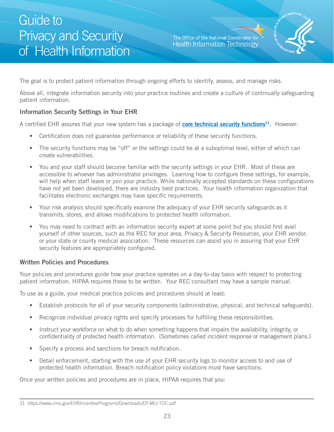The Office of the National Coordinator for **Health Information Technology** 



<span id="page-22-0"></span>The goal is to protect patient information through ongoing efforts to identify, assess, and manage risks.

Above all, integrate information security into your practice routines and create a culture of continually safeguarding patient information.

#### **Information Security Settings in Your EHR**

A certified EHR assures that your new system has a package of **[core technical security functions31](https://www.cms.gov/EHRIncentivePrograms/Downloads/EP-MU-TOC.pdf).** However:

- Certification does not guarantee performance or reliability of these security functions.
- The security functions may be "off" or the settings could be at a suboptimal level, either of which can create vulnerabilities.
- You and your staff should become familiar with the security settings in your EHR. Most of these are accessible to whoever has administrator privileges. Learning how to configure these settings, for example, will help when staff leave or join your practice. While nationally accepted standards on these configurations have not yet been developed, there are industry best practices. Your health information organization that facilitates electronic exchanges may have specific requirements.
- Your risk analysis should specifically examine the adequacy of your EHR security safeguards as it transmits, stores, and allows modifications to protected health information.
- You may need to contract with an information security expert at some point but you should first avail yourself of other sources, such as the REC for your area, Privacy & Security Resources, your EHR vendor, or your state or county medical association. These resources can assist you in assuring that your EHR security features are appropriately configured.

#### **Written Policies and Procedures**

Your policies and procedures guide how your practice operates on a day-to-day basis with respect to protecting patient information. HIPAA requires these to be written. Your REC consultant may have a sample manual.

To use as a guide, your medical practice policies and procedures should at least:

- Establish protocols for all of your security components (administrative, physical, and technical safeguards).
- Recognize individual privacy rights and specify processes for fulfilling these responsibilities.
- Instruct your workforce on what to do when something happens that impairs the availability, integrity, or confidentiality of protected health information. (Sometimes called incident response or management plans.)
- Specify a process and sanctions for breach notification.
- Detail enforcement, starting with the use of your EHR security logs to monitor access to and use of protected health information. Breach notification policy violations must have sanctions.

Once your written policies and procedures are in place, HIPAA requires that you:

<sup>31</sup> https://www.cms.gov/EHRIncentivePrograms/Downloads/EP-MU-TOC.pdf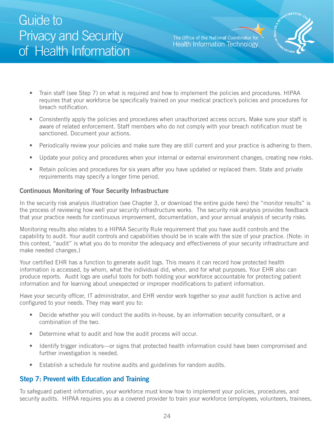The Office of the National Coordinator for **Health Information Technology** 



- <span id="page-23-0"></span>• Train staff (see Step 7) on what is required and how to implement the policies and procedures. HIPAA requires that your workforce be specifically trained on your medical practice's policies and procedures for breach notification.
- Consistently apply the policies and procedures when unauthorized access occurs. Make sure your staff is aware of related enforcement. Staff members who do not comply with your breach notification must be sanctioned. Document your actions.
- Periodically review your policies and make sure they are still current and your practice is adhering to them.
- Update your policy and procedures when your internal or external environment changes, creating new risks.
- Retain policies and procedures for six years after you have updated or replaced them. State and private requirements may specify a longer time period.

#### **Continuous Monitoring of Your Security Infrastructure**

In the security risk analysis illustration (see Chapter 3, or download the entire guide here) the "monitor results" is the process of reviewing how well your security infrastructure works. The security risk analysis provides feedback that your practice needs for continuous improvement, documentation, and your annual analysis of security risks.

Monitoring results also relates to a HIPAA Security Rule requirement that you have audit controls and the capability to audit. Your audit controls and capabilities should be in scale with the size of your practice. (Note: in this context, "audit" is what you do to monitor the adequacy and effectiveness of your security infrastructure and make needed changes.)

Your certified EHR has a function to generate audit logs. This means it can record how protected health information is accessed, by whom, what the individual did, when, and for what purposes. Your EHR also can produce reports. Audit logs are useful tools for both holding your workforce accountable for protecting patient information and for learning about unexpected or improper modifications to patient information.

Have your security officer, IT administrator, and EHR vendor work together so your audit function is active and configured to your needs. They may want you to:

- Decide whether you will conduct the audits in-house, by an information security consultant, or a combination of the two.
- Determine what to audit and how the audit process will occur.
- Identify trigger indicators—or signs that protected health information could have been compromised and further investigation is needed.
- Establish a schedule for routine audits and guidelines for random audits.

#### **Step 7: Prevent with Education and Training**

To safeguard patient information, your workforce must know how to implement your policies, procedures, and security audits. HIPAA requires you as a covered provider to train your workforce (employees, volunteers, trainees,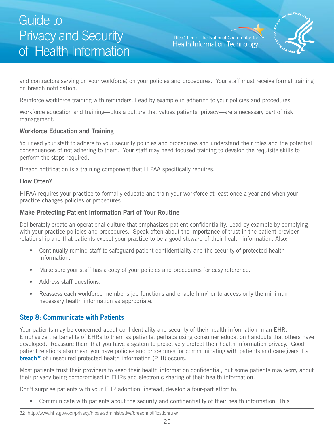The Office of the National Coordinator for **Health Information Technology** 



<span id="page-24-0"></span>on breach notification. and contractors serving on your workforce) on your policies and procedures. Your staff must receive formal training

Reinforce workforce training with reminders. Lead by example in adhering to your policies and procedures.

Workforce education and training—plus a culture that values patients' privacy—are a necessary part of risk management.

#### **Workforce Education and Training**

You need your staff to adhere to your security policies and procedures and understand their roles and the potential consequences of not adhering to them. Your staff may need focused training to develop the requisite skills to perform the steps required.

Breach notification is a training component that HIPAA specifically requires.

#### **How Often?**

 practice changes policies or procedures. HIPAA requires your practice to formally educate and train your workforce at least once a year and when your

#### **Make Protecting Patient Information Part of Your Routine**

Deliberately create an operational culture that emphasizes patient confidentiality. Lead by example by complying with your practice policies and procedures. Speak often about the importance of trust in the patient-provider relationship and that patients expect your practice to be a good steward of their health information. Also:

- Continually remind staff to safeguard patient confidentiality and the security of protected health information.
- Make sure your staff has a copy of your policies and procedures for easy reference.
- Address staff questions.
- Reassess each workforce member's job functions and enable him/her to access only the minimum necessary health information as appropriate.

### **Step 8: Communicate with Patients**

Your patients may be concerned about confidentiality and security of their health information in an EHR. Emphasize the benefits of EHRs to them as patients, perhaps using consumer education handouts that others have developed. Reassure them that you have a system to proactively protect their health information privacy. Good patient relations also mean you have policies and procedures for communicating with patients and caregivers if a **breach**<sup>32</sup> of unsecured protected health information (PHI) occurs.

their privacy being compromised in EHRs and electronic sharing of their health information. Most patients trust their providers to keep their health information confidential, but some patients may worry about

Don't surprise patients with your EHR adoption; instead, develop a four-part effort to:

• Communicate with patients about the security and confidentiality of their health information. This

<sup>32</sup> http://www.hhs.gov/ocr/privacy/hipaa/administrative/breachnotificationrule/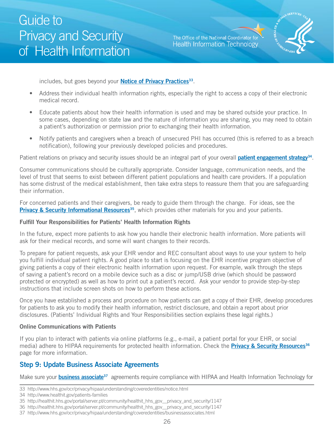The Office of the National Coordinator for **Health Information Technology** 



<span id="page-25-0"></span>includes, but goes beyond your **Notice of Privacy Practices**<sup>33</sup>.

- Address their individual health information rights, especially the right to access a copy of their electronic medical record.
- Educate patients about how their health information is used and may be shared outside your practice. In some cases, depending on state law and the nature of information you are sharing, you may need to obtain a patient's authorization or permission prior to exchanging their health information.
- Notify patients and caregivers when a breach of unsecured PHI has occurred (this is referred to as a breach notification), following your previously developed policies and procedures.

Patient relations on privacy and security issues should be an integral part of your overall **patient engagement strategy**<sup>34</sup>.

Consumer communications should be culturally appropriate. Consider language, communication needs, and the level of trust that seems to exist between different patient populations and health care providers. If a population has some distrust of the medical establishment, then take extra steps to reassure them that you are safeguarding their information.

For concerned patients and their caregivers, be ready to guide them through the change. For ideas, see the **[Privacy & Security Informational Resources](http://healthit.hhs.gov/portal/server.pt/community/healthit_hhs_gov__privacy_and_security/1147)<sup>35</sup>**, which provides other materials for you and your patients.

#### **Fulfill Your Responsibilities for Patients' Health Information Rights**

In the future, expect more patients to ask how you handle their electronic health information. More patients will ask for their medical records, and some will want changes to their records.

To prepare for patient requests, ask your EHR vendor and REC consultant about ways to use your system to help you fulfill individual patient rights. A good place to start is focusing on the EHR incentive program objective of giving patients a copy of their electronic health information upon request. For example, walk through the steps of saving a patient's record on a mobile device such as a disc or jump/USB drive (which should be password protected or encrypted) as well as how to print out a patient's record. Ask your vendor to provide step-by-step instructions that include screen shots on how to perform these actions.

Once you have established a process and procedure on how patients can get a copy of their EHR, develop procedures for patients to ask you to modify their health information, restrict disclosure, and obtain a report about prior disclosures. (Patients' Individual Rights and Your Responsibilities section explains these legal rights.)

#### **Online Communications with Patients**

If you plan to interact with patients via online platforms (e.g., e-mail, a patient portal for your EHR, or social media) adhere to HIPAA requirements for protected health information. Check the **[Privacy & Security Resources](http://healthit.hhs.gov/portal/server.pt/community/healthit_hhs_gov__privacy_and_security/1147)36**  page for more information.

### **Step 9: Update Business Associate Agreements**

Make sure your **business associate**<sup>37</sup> agreements require compliance with HIPAA and Health Information Technology for

<sup>33</sup> http://www.hhs.gov/ocr/privacy/hipaa/understanding/coveredentities/notice.html

<sup>34</sup> http://www.healthit.gov/patients-families

<sup>35</sup> http://healthit.hhs.gov/portal/server.pt/community/healthit\_hhs\_gov\_\_privacy\_and\_security/1147

<sup>36</sup> http://healthit.hhs.gov/portal/server.pt/community/healthit\_hhs\_gov\_\_privacy\_and\_security/1147

<sup>37</sup> http://www.hhs.gov/ocr/privacy/hipaa/understanding/coveredentities/businessassociates.html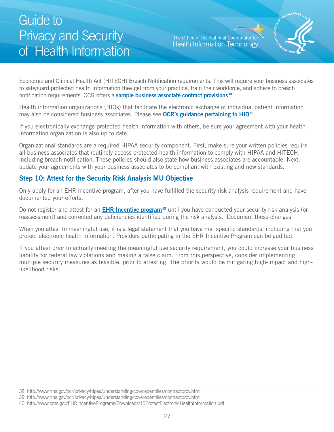The Office of the National Coordinator for **Health Information Technology** 



<span id="page-26-0"></span>Economic and Clinical Health Act (HITECH) Breach Notification requirements. This will require your business associates to safeguard protected health information they get from your practice, train their workforce, and adhere to breach notification requirements. OCR offers a **sample business associate contract provisions**<sup>38</sup>.

Health information organizations (HIOs) that facilitate the electronic exchange of individual patient information may also be considered business associates. Please see **[OCR's guidance pertaining to HIO39](http://www.hhs.gov/ocr/privacy/hipaa/understanding/coveredentities/contractprov.html)**.

If you electronically exchange protected health information with others, be sure your agreement with your health information organization is also up to date.

Organizational standards are a required HIPAA security component. First, make sure your written policies require all business associates that routinely access protected health information to comply with HIPAA and HITECH, including breach notification. These policies should also state how business associates are accountable. Next, update your agreements with your business associates to be compliant with existing and new standards.

#### **Step 10: Attest for the Security Risk Analysis MU Objective**

Only apply for an EHR incentive program, after you have fulfilled the security risk analysis requirement and have documented your efforts.

Do not register and attest for an **EHR Incentive program<sup>40</sup>** until you have conducted your security risk analysis (or reassessment) and corrected any deficiencies identified during the risk analysis. Document these changes.

When you attest to meaningful use, it is a legal statement that you have met specific standards, including that you protect electronic health information. Providers participating in the EHR Incentive Program can be audited.

If you attest prior to actually meeting the meaningful use security requirement, you could increase your business liability for federal law violations and making a false claim. From this perspective, consider implementing multiple security measures as feasible, prior to attesting. The priority would be mitigating high-impact and highlikelihood risks.

<sup>38</sup> http://www.hhs.gov/ocr/privacy/hipaa/understanding/coveredentities/contractprov.html

<sup>39</sup> http://www.hhs.gov/ocr/privacy/hipaa/understanding/coveredentities/contractprov.html

<sup>40</sup> http://www.cms.gov/EHRIncentivePrograms/Downloads/15ProtectElectronicHealthInformation.pdf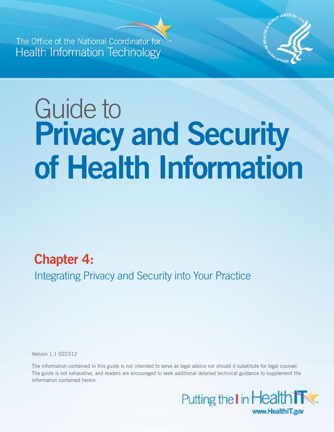<span id="page-27-0"></span>**The Office of the National Coord Health Information Technology** 



# Guide to **Privacy and Security of Health Information**

# **Chapter 4:**

Integrating Privacy and Security into Your Practice

Version 1.1 022312

The information contained in this guide is not intended to serve as legal advice nor should it substitute for legal counsel. The guide is not exhaustive, and readers are encouraged to seek additional detailed technical guidance to supplement the information contained herein.

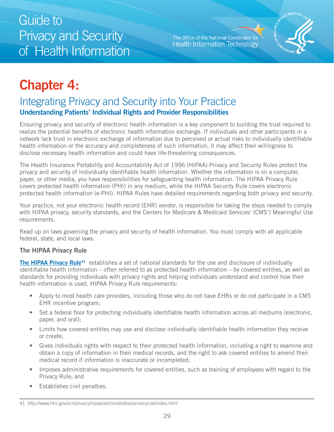The Office of the National Coordinator for **Health Information Technology** 



# <span id="page-28-0"></span>**Chapter 4:**

### Integrating Privacy and Security into Your Practice **Understanding Patients' Individual Rights and Provider Responsibilities**

Ensuring privacy and security of electronic health information is a key component to building the trust required to realize the potential benefits of electronic health information exchange. If individuals and other participants in a network lack trust in electronic exchange of information due to perceived or actual risks to individually identifiable health information or the accuracy and completeness of such information, it may affect their willingness to disclose necessary health information and could have life-threatening consequences.

The Health Insurance Portability and Accountability Act of 1996 (HIPAA) Privacy and Security Rules protect the privacy and security of individually identifiable health information. Whether the information is on a computer, paper, or other media, you have responsibilities for safeguarding health information. The HIPAA Privacy Rule covers protected health information (PHI) in any medium, while the HIPAA Security Rule covers electronic protected health information (e-PHI). HIPAA Rules have detailed requirements regarding both privacy and security.

Your practice, not your electronic health record (EHR) vendor, is responsible for taking the steps needed to comply with HIPAA privacy, security standards, and the Centers for Medicare & Medicaid Services' (CMS') Meaningful Use requirements.

 federal, state, and local laws. Read up on laws governing the privacy and security of health information. You must comply with all applicable

#### **The HIPAA Privacy Rule**

**The HIPAA Privacy Rule<sup>41</sup>** establishes a set of national standards for the use and disclosure of individually identifiable health information – often referred to as protected health information – by covered entities, as well as standards for providing individuals with privacy rights and helping individuals understand and control how their health information is used. HIPAA Privacy Rule requirements:

- Apply to most health care providers, including those who do not have EHRs or do not participate in a CMS EHR incentive program;
- Set a federal floor for protecting individually identifiable health information across all mediums (electronic, paper, and oral);
- Limits how covered entities may use and disclose individually identifiable health information they receive or create;
- • Gives individuals rights with respect to their protected health information, including a right to examine and obtain a copy of information in their medical records, and the right to ask covered entities to amend their medical record if information is inaccurate or incompleted;
- Imposes administrative requirements for covered entities, such as training of employees with regard to the Privacy Rule; and
- Establishes civil penalties.

<sup>41</sup> http://www.hhs.gov/ocr/privacy/hipaa/administrative/privacyrule/index.html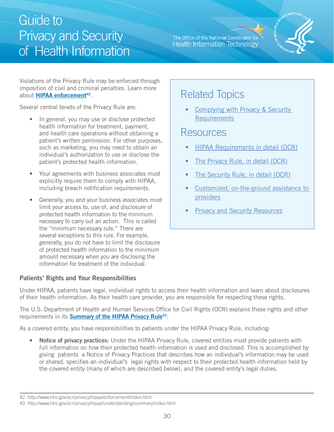#### The Office of the National Coordinator for **Health Information Technology**



<span id="page-29-0"></span>Violations of the Privacy Rule may be enforced through imposition of civil and criminal penalties. Learn more about **HIPAA enforcement**<sup>42</sup>.

Several central tenets of the Privacy Rule are:

- In general, you may use or disclose protected health information for treatment, payment, and health care operations without obtaining a patient's written permission. For other purposes, such as marketing, you may need to obtain an individual's authorization to use or disclose the patient's protected health information.
- Your agreements with business associates must explicitly require them to comply with HIPAA, including breach notification requirements.
- Generally, you and your business associates must limit your access to, use of, and disclosure of protected health information to the minimum necessary to carry out an action. This is called the "minimum necessary rule." There are several exceptions to this rule. For example, generally, you do not have to limit the disclosure of protected health information to the minimum amount necessary when you are disclosing the information for treatment of the individual.

#### **Patients' Rights and Your Responsibilities**

### Related Topics

• [Complying with Privacy & Security](http://healthit.hhs.gov/portal/server.pt/community/healthit_hhs_gov__privacy_and_security/1147) **[Requirements](http://healthit.hhs.gov/portal/server.pt/community/healthit_hhs_gov__privacy_and_security/1147)** 

### Resources

- **HIPAA Requirements in detail (OCR)**
- The Privacy Rule, in detail (OCR)
- The Security Rule, in detail (OCR)
- Customized, on-the-ground assistance to [providers](http://healthit.hhs.gov/portal/server.pt/community/hit_extension_program/1495/home/17174)
- **Privacy and Security Resources**

Under HIPAA, patients have legal, individual rights to access their health information and learn about disclosures of their health information. As their health care provider, you are responsible for respecting these rights.

The U.S. Department of Health and Human Services Office for Civil Rights (OCR) explains these rights and other requirements in its **[Summary of the HIPAA Privacy Rule43](http://www.hhs.gov/ocr/privacy/hipaa/understanding/summary/index.html)** .

As a covered entity, you have responsibilities to patients under the HIPAA Privacy Rule, including:

• **Notice of privacy practices:** Under the HIPAA Privacy Rule, covered entities must provide patients with full information on how their protected health information is used and disclosed. This is accomplished by giving patients a Notice of Privacy Practices that describes how an individual's information may be used or shared, specifies an individual's legal rights with respect to their protected health information held by the covered entity (many of which are described below), and the covered entity's legal duties.

<sup>42</sup> http://www.hhs.gov/ocr/privacy/hipaa/enforcement/index.html

<sup>43</sup> http://www.hhs.gov/ocr/privacy/hipaa/understanding/summary/index.html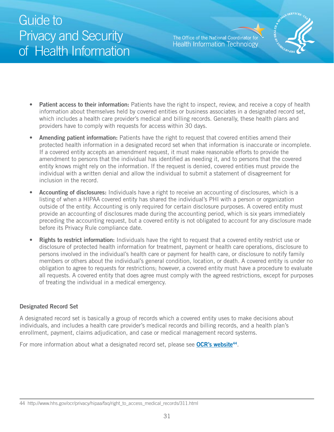The Office of the National Coordinator for **Health Information Technology** 



- **Patient access to their information:** Patients have the right to inspect, review, and receive a copy of health information about themselves held by covered entities or business associates in a designated record set, which includes a health care provider's medical and billing records. Generally, these health plans and providers have to comply with requests for access within 30 days.
- **Amending patient information:** Patients have the right to request that covered entities amend their protected health information in a designated record set when that information is inaccurate or incomplete. If a covered entity accepts an amendment request, it must make reasonable efforts to provide the amendment to persons that the individual has identified as needing it, and to persons that the covered entity knows might rely on the information. If the request is denied, covered entities must provide the individual with a written denial and allow the individual to submit a statement of disagreement for inclusion in the record.
- **Accounting of disclosures:** Individuals have a right to receive an accounting of disclosures, which is a listing of when a HIPAA covered entity has shared the individual's PHI with a person or organization outside of the entity. Accounting is only required for certain disclosure purposes. A covered entity must provide an accounting of disclosures made during the accounting period, which is six years immediately preceding the accounting request, but a covered entity is not obligated to account for any disclosure made before its Privacy Rule compliance date.
- • **Rights to restrict information:** Individuals have the right to request that a covered entity restrict use or disclosure of protected health information for treatment, payment or health care operations, disclosure to persons involved in the individual's health care or payment for health care, or disclosure to notify family members or others about the individual's general condition, location, or death. A covered entity is under no obligation to agree to requests for restrictions; however, a covered entity must have a procedure to evaluate all requests. A covered entity that does agree must comply with the agreed restrictions, except for purposes of treating the individual in a medical emergency.

#### **Designated Record Set**

A designated record set is basically a group of records which a covered entity uses to make decisions about individuals, and includes a health care provider's medical records and billing records, and a health plan's enrollment, payment, claims adjudication, and case or medical management record systems.

For more information about what a designated record set, please see **OCR's website<sup>44</sup>**.

<sup>44</sup> http://www.hhs.gov/ocr/privacy/hipaa/faq/right\_to\_access\_medical\_records/311.html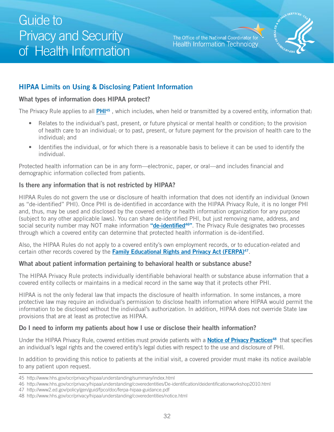The Office of the National Coordinator for **Health Information Technology** 



### <span id="page-31-0"></span>**HIPAA Limits on Using & Disclosing Patient Information**

#### **What types of information does HIPAA protect?**

The Privacy Rule applies to all **[PHI45](http://www.hhs.gov/ocr/privacy/hipaa/understanding/summary/index.html)** , which includes, when held or transmitted by a covered entity, information that:

- Relates to the individual's past, present, or future physical or mental health or condition; to the provision of health care to an individual; or to past, present, or future payment for the provision of health care to the individual; and
- Identifies the individual, or for which there is a reasonable basis to believe it can be used to identify the individual.

Protected health information can be in any form—electronic, paper, or oral—and includes financial and demographic information collected from patients.

#### **Is there any information that is not restricted by HIPAA?**

HIPAA Rules do not govern the use or disclosure of health information that does not identify an individual (known as "de-identified" PHI). Once PHI is de-identified in accordance with the HIPAA Privacy Rule, it is no longer PHI and, thus, may be used and disclosed by the covered entity or health information organization for any purpose (subject to any other applicable laws). You can share de-identified PHI, but just removing name, address, and social security number may NOT make information **"de-[identified4](http://www.hhs.gov/ocr/privacy/hipaa/understanding/coveredentities/De-identification/deidentificationworkshop2010.html)6"**. The Privacy Rule designates two processes through which a covered entity can determine that protected health information is de-identified.

Also, the HIPAA Rules do not apply to a covered entity's own employment records, or to education-related and certain other records covered by the **Family Educational Rights and Privacy Act (FERPA)**<sup>47</sup>.

#### **What about patient information pertaining to behavioral health or substance abuse?**

The HIPAA Privacy Rule protects individually identifiable behavioral health or substance abuse information that a covered entity collects or maintains in a medical record in the same way that it protects other PHI.

HIPAA is not the only federal law that impacts the disclosure of health information. In some instances, a more protective law may require an individual's permission to disclose health information where HIPAA would permit the information to be disclosed without the individual's authorization. In addition, HIPAA does not override State law provisions that are at least as protective as HIPAA.

#### **Do I need to inform my patients about how I use or disclose their health information?**

 Under the HIPAA Privacy Rule, covered entities must provide patients with a **[Notice of Privacy Practices48](http://www.hhs.gov/ocr/privacy/hipaa/understanding/coveredentities/notice.html)** that specifies an individual's legal rights and the covered entity's legal duties with respect to the use and disclosure of PHI.

In addition to providing this notice to patients at the initial visit, a covered provider must make its notice available to any patient upon request.

<sup>45</sup> http://www.hhs.gov/ocr/privacy/hipaa/understanding/summary/index.html

<sup>46</sup> http://www.hhs.gov/ocr/privacy/hipaa/understanding/coveredentities/De-identification/deidentificationworkshop2010.html

<sup>47</sup> http://www2.ed.gov/policy/gen/guid/fpco/doc/ferpa-hipaa-guidance.pdf

<sup>48</sup> http://www.hhs.gov/ocr/privacy/hipaa/understanding/coveredentities/notice.html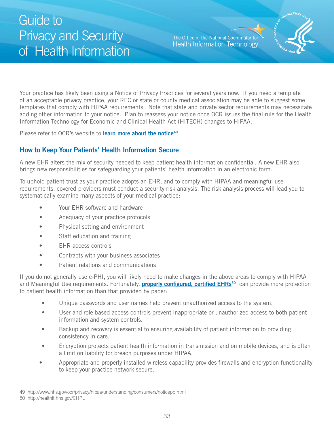The Office of the National Coordinator for **Health Information Technology** 



<span id="page-32-0"></span>Your practice has likely been using a Notice of Privacy Practices for several years now. If you need a template of an acceptable privacy practice, your REC or state or county medical association may be able to suggest some templates that comply with HIPAA requirements. Note that state and private sector requirements may necessitate adding other information to your notice. Plan to reassess your notice once OCR issues the final rule for the Health Information Technology for Economic and Clinical Health Act (HITECH) changes to HIPAA.

Please refer to OCR's website to **[learn more about the notice](http://www.hhs.gov/ocr/privacy/hipaa/understanding/consumers/noticepp.html)49**.

#### **How to Keep Your Patients' Health Information Secure**

A new EHR alters the mix of security needed to keep patient health information confidential. A new EHR also brings new responsibilities for safeguarding your patients' health information in an electronic form.

To uphold patient trust as your practice adopts an EHR, and to comply with HIPAA and meaningful use requirements, covered providers must conduct a security risk analysis. The risk analysis process will lead you to systematically examine many aspects of your medical practice:

- Your EHR software and hardware
- Adequacy of your practice protocols
- • Physical setting and environment
- Staff education and training
- **EHR** access controls
- • Contracts with your business associates
- • Patient relations and communications

and Meaningful Use requirements. Fortunately, **properly configured, certified EHRs<sup>50</sup> can provide more protection** If you do not generally use e-PHI, you will likely need to make changes in the above areas to comply with HIPAA to patient health information than that provided by paper:

- Unique passwords and user names help prevent unauthorized access to the system.
- User and role based access controls prevent inappropriate or unauthorized access to both patient information and system controls.
- Backup and recovery is essential to ensuring availability of patient information to providing consistency in care.
- Encryption protects patient health information in transmission and on mobile devices, and is often a limit on liability for breach purposes under HIPAA.
- Appropriate and properly installed wireless capability provides firewalls and encryption functionality to keep your practice network secure.

<sup>49</sup> http://www.hhs.gov/ocr/privacy/hipaa/understanding/consumers/noticepp.html

<sup>50</sup> http://healthit.hhs.gov/CHPL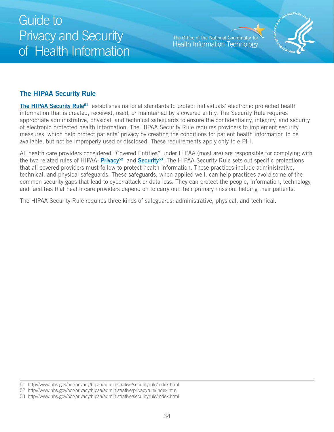The Office of the National Coordinator for **Health Information Technology** 



### <span id="page-33-0"></span>**The HIPAA Security Rule**

**The HIPAA Security Rule<sup>51</sup>** establishes national standards to protect individuals' electronic protected health information that is created, received, used, or maintained by a covered entity. The Security Rule requires appropriate administrative, physical, and technical safeguards to ensure the confidentiality, integrity, and security of electronic protected health information. The HIPAA Security Rule requires providers to implement security measures, which help protect patients' privacy by creating the conditions for patient health information to be available, but not be improperly used or disclosed. These requirements apply only to e-PHI.

All health care providers considered "Covered Entities" under HIPAA (most are) are responsible for complying with the two related rules of HIPAA: **[Privacy](http://healthit.hhs.gov/portal/server.pt/community/healthit_hhs_gov__privacy_and_security/1147)52** and **[Security53](http://www.hhs.gov/ocr/privacy/hipaa/administrative/securityrule/index.html)**. The HIPAA Security Rule sets out specific protections that all covered providers must follow to protect health information. These practices include administrative, technical, and physical safeguards. These safeguards, when applied well, can help practices avoid some of the common security gaps that lead to cyber-attack or data loss. They can protect the people, information, technology, and facilities that health care providers depend on to carry out their primary mission: helping their patients.

The HIPAA Security Rule requires three kinds of safeguards: administrative, physical, and technical.

<sup>51</sup> http://www.hhs.gov/ocr/privacy/hipaa/administrative/securityrule/index.html

<sup>52</sup> http://www.hhs.gov/ocr/privacy/hipaa/administrative/privacyrule/index.html

<sup>53</sup> http://www.hhs.gov/ocr/privacy/hipaa/administrative/securityrule/index.html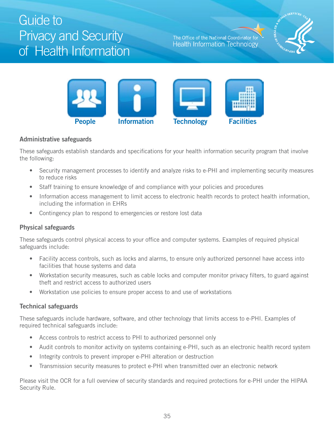The Office of the National Coordinator for **Health Information Technology** 





#### **Administrative safeguards**

These safeguards establish standards and specifications for your health information security program that involve the following:

- Security management processes to identify and analyze risks to e-PHI and implementing security measures to reduce risks
- Staff training to ensure knowledge of and compliance with your policies and procedures
- Information access management to limit access to electronic health records to protect health information, including the information in EHRs
- Contingency plan to respond to emergencies or restore lost data

#### **Physical safeguards**

These safeguards control physical access to your office and computer systems. Examples of required physical safeguards include:

- Facility access controls, such as locks and alarms, to ensure only authorized personnel have access into facilities that house systems and data
- Workstation security measures, such as cable locks and computer monitor privacy filters, to guard against theft and restrict access to authorized users
- Workstation use policies to ensure proper access to and use of workstations

#### **Technical safeguards**

These safeguards include hardware, software, and other technology that limits access to e-PHI. Examples of required technical safeguards include:

- Access controls to restrict access to PHI to authorized personnel only
- Audit controls to monitor activity on systems containing e-PHI, such as an electronic health record system
- Integrity controls to prevent improper e-PHI alteration or destruction
- Transmission security measures to protect e-PHI when transmitted over an electronic network

Please visit the OCR for a full overview of security standards and required protections for e-PHI under the HIPAA Security Rule.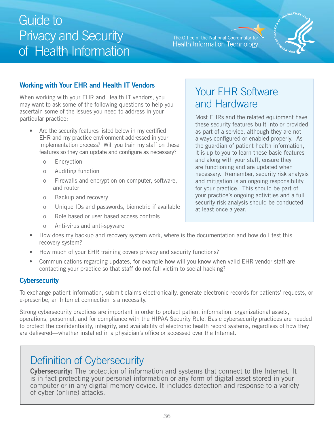#### The Office of the National Coordinator for **Health Information Technology**



### <span id="page-35-0"></span>**Working with Your EHR and Health IT Vendors**

When working with your EHR and Health IT vendors, you may want to ask some of the following questions to help you ascertain some of the issues you need to address in your particular practice:

- Are the security features listed below in my certified EHR and my practice environment addressed in your implementation process? Will you train my staff on these features so they can update and configure as necessary?
	- o Encryption
	- o Auditing function
	- o Firewalls and encryption on computer, software, and router
	- o Backup and recovery
	- o Unique IDs and passwords, biometric if available
	- o Role based or user based access controls
	- o Anti-virus and anti-spyware

### Your EHR Software and Hardware

Most EHRs and the related equipment have these security features built into or provided as part of a service, although they are not always configured or enabled properly. As the guardian of patient health information, it is up to you to learn these basic features and along with your staff, ensure they are functioning and are updated when necessary. Remember, security risk analysis and mitigation is an ongoing responsibility for your practice. This should be part of your practice's ongoing activities and a full security risk analysis should be conducted at least once a year.

- How does my backup and recovery system work, where is the documentation and how do I test this recovery system?
- How much of your EHR training covers privacy and security functions?
- Communications regarding updates, for example how will you know when valid EHR vendor staff are contacting your practice so that staff do not fall victim to social hacking?

### **Cybersecurity**

To exchange patient information, submit claims electronically, generate electronic records for patients' requests, or e-prescribe, an Internet connection is a necessity.

Strong cybersecurity practices are important in order to protect patient information, organizational assets, operations, personnel, and for compliance with the HIPAA Security Rule. Basic cybersecurity practices are needed to protect the confidentiality, integrity, and availability of electronic health record systems, regardless of how they are delivered—whether installed in a physician's office or accessed over the Internet.

### Definition of Cybersecurity

of cyber (online) attacks.<br>36 **Cybersecurity:** The protection of information and systems that connect to the Internet. It is in fact protecting your personal information or any form of digital asset stored in your computer or in any digital memory device. It includes detection and response to a variety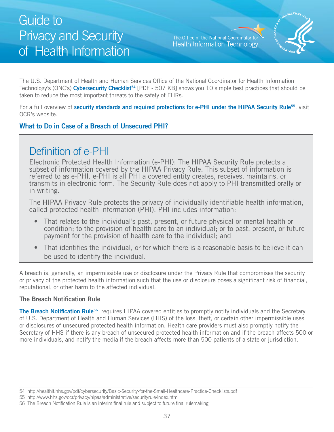The Office of the National Coordinator for **Health Information Technology** 



<span id="page-36-0"></span>The U.S. Department of Health and Human Services Office of the National Coordinator for Health Information Technology's (ONC's) **Cybersecurity Checklist<sup>54</sup>** [PDF - 507 KB] shows you 10 simple best practices that should be taken to reduce the most important threats to the safety of EHRs.

For a full overview of **[security standards and required protections for e-PHI under the HIPAA Security Rule55](http://www.hhs.gov/ocr/privacy/hipaa/administrative/securityrule/index.html)**, visit OCR's website.

### **What to Do in Case of a Breach of Unsecured PHI?**

### Definition of e-PHI

Electronic Protected Health Information (e-PHI): The HIPAA Security Rule protects a subset of information covered by the HIPAA Privacy Rule. This subset of information is referred to as e-PHI. e-PHI is all PHI a covered entity creates, receives, maintains, or transmits in electronic form. The Security Rule does not apply to PHI transmitted orally or in writing.

The HIPAA Privacy Rule protects the privacy of individually identifiable health information, called protected health information (PHI). PHI includes information:

- That relates to the individual's past, present, or future physical or mental health or condition; to the provision of health care to an individual; or to past, present, or future payment for the provision of health care to the individual; and
- That identifies the individual, or for which there is a reasonable basis to believe it can be used to identify the individual.

A breach is, generally, an impermissible use or disclosure under the Privacy Rule that compromises the security or privacy of the protected health information such that the use or disclosure poses a significant risk of financial, reputational, or other harm to the affected individual.

#### **The Breach Notification Rule**

The Breach Notification Rule<sup>56</sup> requires HIPAA covered entities to promptly notify individuals and the Secretary of U.S. Department of Health and Human Services (HHS) of the loss, theft, or certain other impermissible uses or disclosures of unsecured protected health information. Health care providers must also promptly notify the Secretary of HHS if there is any breach of unsecured protected health information and if the breach affects 500 or more individuals, and notify the media if the breach affects more than 500 patients of a state or jurisdiction.

<sup>54</sup> http://healthit.hhs.gov/pdf/cybersecurity/Basic-Security-for-the-Small-Healthcare-Practice-Checklists.pdf

<sup>55</sup> http://www.hhs.gov/ocr/privacy/hipaa/administrative/securityrule/index.html

<sup>56</sup> The Breach Notification Rule is an interim final rule and subject to future final rulemaking.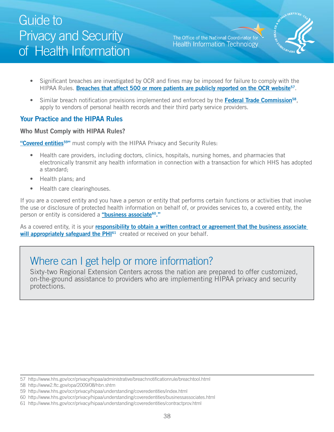The Office of the National Coordinator for **Health Information Technology** 



- <span id="page-37-0"></span>• Significant breaches are investigated by OCR and fines may be imposed for failure to comply with the HIPAA Rules. **[Breaches that affect 500 or more patients are publicly reported on the OCR website57](http://www.hhs.gov/ocr/privacy/hipaa/administrative/breachnotificationrule/breachtool.html)**.
- Similar breach notification provisions implemented and enforced by the **Federal Trade Commission**<sup>58</sup>, apply to vendors of personal health records and their third party service providers.

### **Your Practice and the HIPAA Rules**

#### **Who Must Comply with HIPAA Rules?**

**"Covered entities<sup>59"</sup>** must comply with the HIPAA Privacy and Security Rules:

- Health care providers, including doctors, clinics, hospitals, nursing homes, and pharmacies that electronically transmit any health information in connection with a transaction for which HHS has adopted a standard;
- Health plans; and
- Health care clearinghouses.

If you are a covered entity and you have a person or entity that performs certain functions or activities that involve the use or disclosure of protected health information on behalf of, or provides services to, a covered entity, the person or entity is considered a **["business associate60."](http://www.hhs.gov/ocr/privacy/hipaa/understanding/coveredentities/businessassociates.html)** 

As a covered entity, it is your **r[esponsibility to obtain a written contract or agreement that the business associate](http://www.hhs.gov/ocr/privacy/hipaa/understanding/coveredentities/contractprov.html)**  will appropriately safeguard the PHI<sup>61</sup> created or received on your behalf.

### Where can I get help or more information?

Sixty-two Regional Extension Centers across the nation are prepared to offer customized, on-the-ground assistance to providers who are implementing HIPAA privacy and security protections.

<sup>57</sup> http://www.hhs.gov/ocr/privacy/hipaa/administrative/breachnotificationrule/breachtool.html

<sup>58</sup> http://www2.ftc.gov/opa/2009/08/hbn.shtm

<sup>59</sup> http://www.hhs.gov/ocr/privacy/hipaa/understanding/coveredentities/index.html

<sup>60</sup> http://www.hhs.gov/ocr/privacy/hipaa/understanding/coveredentities/businessassociates.html

<sup>61</sup> http://www.hhs.gov/ocr/privacy/hipaa/understanding/coveredentities/contractprov.html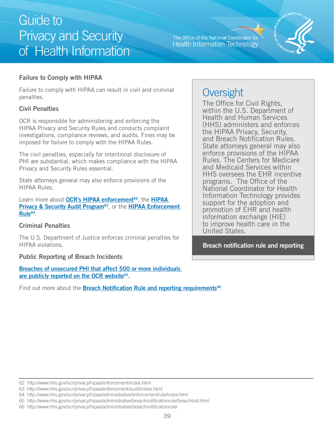The Office of the National Coordinator for **Health Information Technology** 



#### <span id="page-38-0"></span>**Failure to Comply with HIPAA**

Failure to comply with HIPAA can result in civil and criminal penalties.

#### **Civil Penalties**

OCR is responsible for administering and enforcing the HIPAA Privacy and Security Rules and conducts complaint investigations, compliance reviews, and audits. Fines may be imposed for failure to comply with the HIPAA Rules.

The civil penalties, especially for intentional disclosure of PHI are substantial, which makes compliance with the HIPAA Privacy and Security Rules essential.

State attorneys general may also enforce provisions of the HIPAA Rules.

Learn more about **OCR's [HIPAA](http://www.hhs.gov/ocr/privacy/hipaa/enforcement/audit/index.html) enforcement<sup>62</sup>**, the **HIPAA Privacy & Security Audit Program<sup>63</sup>, or the HIPAA Enforcement [Rule64](http://www.hhs.gov/ocr/privacy/hipaa/administrative/enforcementrule/index.html)** .

#### **Criminal Penalties**

The U.S. Department of Justice enforces criminal penalties for HIPAA violations.

#### **Public Reporting of Breach Incidents**

**[Breaches of unsecured PHI that affect 500 or more individuals](http://www.hhs.gov/ocr/privacy/hipaa/administrative/breachnotificationrule/breachtool.html)  [are publicly reported on the OCR website65.](http://www.hhs.gov/ocr/privacy/hipaa/administrative/breachnotificationrule/breachtool.html)** 

Find out more about the **Breach Notification Rule and reporting requirements<sup>66</sup>.** 

### **Oversight**

The Office for Civil Rights, within the U.S. Department of Health and Human Services (HHS) administers and enforces the HIPAA Privacy, Security, and Breach Notification Rules. State attorneys general may also enforce provisions of the HIPAA Rules. The Centers for Medicare and Medicaid Services within HHS oversees the EHR incentive programs. The Office of the National Coordinator for Health Information Technology provides support for the adoption and promotion of EHR and health information exchange (HIE) to improve health care in the United States.

**Breach notification rule and reporting** 

<sup>62</sup> http://www.hhs.gov/ocr/privacy/hipaa/enforcement/index.html

<sup>63</sup> http://www.hhs.gov/ocr/privacy/hipaa/enforcement/audit/index.html

<sup>64</sup> http://www.hhs.gov/ocr/privacy/hipaa/administrative/enforcementrule/index.html

<sup>65</sup> http://www.hhs.gov/ocr/privacy/hipaa/administrative/breachnotificationrule/breachtool.html

<sup>66</sup> http://www.hhs.gov/ocr/privacy/hipaa/administrative/breachnotificationrule/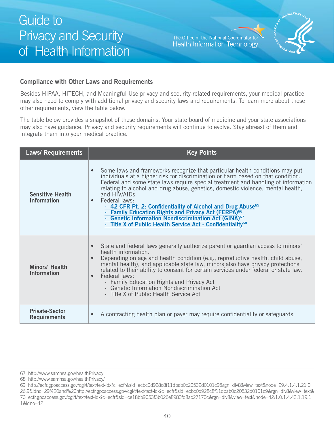The Office of the National Coordinator for **Health Information Technology** 



#### **Compliance with Other Laws and Requirements**

Besides HIPAA, HITECH, and Meaningful Use privacy and security-related requirements, your medical practice other requirements, view the table below. may also need to comply with additional privacy and security laws and requirements. To learn more about these

The table below provides a snapshot of these domains. Your state board of medicine and your state associations may also have guidance. Privacy and security requirements will continue to evolve. Stay abreast of them and integrate them into your medical practice.

| <b>Laws/ Requirements</b>                     | <b>Key Points</b>                                                                                                                                                                                                                                                                                                                                                                                                                                                                                                                                                                                                                                                                   |
|-----------------------------------------------|-------------------------------------------------------------------------------------------------------------------------------------------------------------------------------------------------------------------------------------------------------------------------------------------------------------------------------------------------------------------------------------------------------------------------------------------------------------------------------------------------------------------------------------------------------------------------------------------------------------------------------------------------------------------------------------|
| <b>Sensitive Health</b><br><b>Information</b> | Some laws and frameworks recognize that particular health conditions may put<br>individuals at a higher risk for discrimination or harm based on that condition.<br>Federal and some state laws require special treatment and handling of information<br>relating to alcohol and drug abuse, genetics, domestic violence, mental health,<br>and HIV/AIDs.<br>Federal laws:<br>$\bullet$<br>- 42 CFR Pt. 2: Confidentiality of Alcohol and Drug Abuse <sup>65</sup><br>- Family Education Rights and Privacy Act (FERPA) <sup>66</sup><br>- Genetic Information Nondiscrimination Act (GINA) <sup>67</sup><br>- Title X of Public Health Service Act - Confidentiality <sup>68</sup> |
| <b>Minors' Health</b><br><b>Information</b>   | State and federal laws generally authorize parent or guardian access to minors'<br>health information.<br>Depending on age and health condition (e.g., reproductive health, child abuse, mental health), and applicable state law, minors also have privacy protections<br>$\bullet$<br>related to their ability to consent for certain services under federal or state law.<br>Federal laws:<br>- Family Education Rights and Privacy Act<br>- Genetic Information Nondiscrimination Act<br>- Title X of Public Health Service Act                                                                                                                                                 |
| <b>Private-Sector</b><br><b>Requirements</b>  | A contracting health plan or payer may require confidentiality or safeguards.                                                                                                                                                                                                                                                                                                                                                                                                                                                                                                                                                                                                       |

<sup>67</sup> http://www.samhsa.gov/healthPrivacy

<sup>68</sup> http://www.samhsa.gov/healthPrivacy/

<sup>69</sup> http://ecfr.gpoaccess.gov/cgi/t/text/text-idx?c=ecfr&sid=ecbc0d928c8f11dbab0c20532d0101c9&rgn=div8&view=text&node=29:4.1.4.1.21.0. 26.9&idno=29%20and%20http://ecfr.gpoaccess.gov/cgi/t/text/text-idx?c=ecfr&sid=ecbc0d928c8f11dbab0c20532d0101c9&rgn=div8&view=text& 70 ecfr.gpoaccess.gov/cgi/t/text/text-idx?c=ecfr&sid=ce18bb9053f3b026e8983fd8ac27170c&rgn=div8&view=text&node=42:1.0.1.4.43.1.19.1 1&idno=42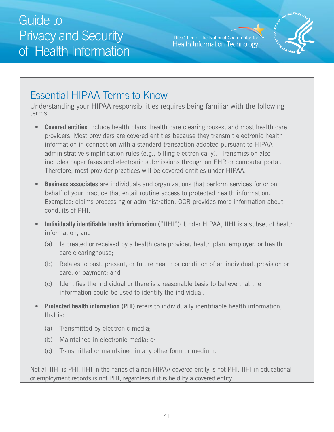The Office of the National Coordinator for **Health Information Technology** 



### Essential HIPAA Terms to Know

Understanding your HIPAA responsibilities requires being familiar with the following terms:

- includes paper faxes and electronic submissions through an EHR or computer portal.<br>Therefore, most provider practices will be covered entities under HIPAA. Therefore, most provider practices will be covered entities under HIPAA. **• Covered entities** include health plans, health care clearinghouses, and most health care providers. Most providers are covered entities because they transmit electronic health information in connection with a standard transaction adopted pursuant to HIPAA administrative simplification rules (e.g., billing electronically). Transmission also
- **Business associates** are individuals and organizations that perform services for or on behalf of your practice that entail routine access to protected health information. Examples: claims processing or administration. OCR provides more information about conduits of PHI.
- information, and **Individually identifiable health information** ("IIHI"): Under HIPAA, IIHI is a subset of health
	- care clearinghouse; (a) Is created or received by a health care provider, health plan, employer, or health
	- (b) Relates to past, present, or future health or condition of an individual, provision or care, or payment; and
	- (c) Identifies the individual or there is a reasonable basis to believe that the information could be used to identify the individual.
- **Protected health information (PHI)** refers to individually identifiable health information, that is:
	- (a) Transmitted by electronic media;
	- (b) Maintained in electronic media; or
	- (c) Transmitted or maintained in any other form or medium.

Not all IIHI is PHI. IIHI in the hands of a non-HIPAA covered entity is not PHI. IIHI in educational or employment records is not PHI, regardless if it is held by a covered entity.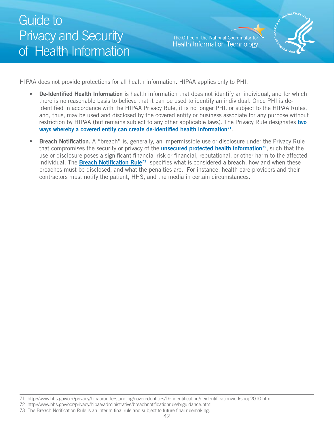The Office of the National Coordinator for **Health Information Technology** 



HIPAA does not provide protections for all health information. HIPAA applies only to PHI.

- **De-Identified Health Information** is health information that does not identify an individual, and for which there is no reasonable basis to believe that it can be used to identify an individual. Once PHI is deidentified in accordance with the HIPAA Privacy Rule, it is no longer PHI, or subject to the HIPAA Rules, and, thus, may be used and disclosed by the covered entity or business associate for any purpose without restriction by HIPAA (but remains subject to any other applicable laws). The Privacy Rule designates **[two](http://http://www.hhs.gov/ocr/privacy/hipaa/understanding/coveredentities/De-identification/deidentificationworkshop2010.html)**  ways whereby a covered entity can create de-identified health information<sup>71</sup>.
- individual. The *Breach Notification Rule<sup>73</sup>* specifies what is considered a breach, how and when these **Breach Notification.** A "breach" is, generally, an impermissible use or disclosure under the Privacy Rule that compromises the security or privacy of the **[unsecured protected health information7](http://http://www.hhs.gov/ocr/privacy/hipaa/administrative/breachnotificationrule/brguidance.html)2**, such that the use or disclosure poses a significant financial risk or financial, reputational, or other harm to the affected breaches must be disclosed, and what the penalties are. For instance, health care providers and their contractors must notify the patient, HHS, and the media in certain circumstances.

<sup>71</sup> http://www.hhs.gov/ocr/privacy/hipaa/understanding/coveredentities/De-identification/deidentificationworkshop2010.html

<sup>72</sup> http://www.hhs.gov/ocr/privacy/hipaa/administrative/breachnotificationrule/brguidance.html

<sup>73</sup> The Breach Notification Rule is an interim final rule and subject to future final rulemaking.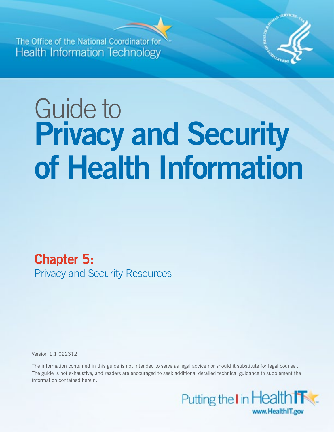<span id="page-42-0"></span>**The Office of the National Coord Health Information Technology** 



# Guide to **Privacy and Security of Health Information**

**Chapter 5:**  Privacy and Security Resources

Version 1.1 022312

The information contained in this guide is not intended to serve as legal advice nor should it substitute for legal counsel. The guide is not exhaustive, and readers are encouraged to seek additional detailed technical guidance to supplement the information contained herein.

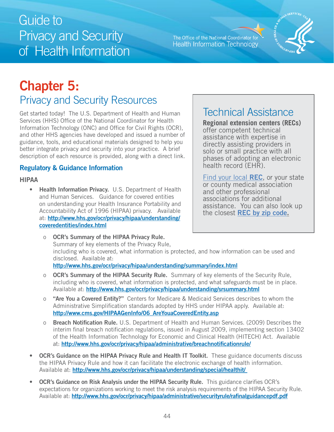The Office of the National Coordinator for **Health Information Technology** 



# <span id="page-43-0"></span>**Chapter 5:**

### Privacy and Security Resources

Get started today! The U.S. Department of Health and Human | Technical Assistance Services (HHS) Office of the National Coordinator for Health Information Technology (ONC) and Office for Civil Rights (OCR), and other HHS agencies have developed and issued a number of guidance, tools, and educational materials designed to help you better integrate privacy and security into your practice. A brief description of each resource is provided, along with a direct link.

### **Regulatory & Guidance Information**

#### **HIPAA**

• **Health Information Privacy.** U.S. Department of Health and Human Services. Guidance for covered entities on understanding your Health Insurance Portability and Accountability Act of 1996 (HIPAA) privacy. Available at: **[http://www.hhs.gov/ocr/privacy/hipaa/understanding/](http://www.hhs.gov/ocr/privacy/hipaa/understanding/coveredentities/index.html) [coveredentities/index.html](http://www.hhs.gov/ocr/privacy/hipaa/understanding/coveredentities/index.html)** 

**Regional extension centers (RECs)** offer competent technical assistance with expertise in directly assisting providers in solo or small practice with all phases of adopting an electronic health record (EHR).

[Find your local](http://www.google.com/url?sa=t&rct=j&q=&esrc=s&source=web&cd=1&ved=0CCcQFjAA&url=http%3A%2F%2Fhealthit.hhs.gov%2Fportal%2Fserver.pt%2Fcommunity%2Fhit_extension_program%2F1495%2Fhome%2F17174&ei=RKdGT-f-C6Lb0QHB8-G1Dg&usg=AFQjCNGTIxfhFISU7r7bWJU-J0K7UwK3MQ&sig2=G4dsLshfI0metIXou6qh-g) **REC**, or your state or county medical association and other professional associations for additional assistance. You can also look up the closest **[REC by zip code](http://www.google.com/url?sa=t&rct=j&q=&esrc=s&source=web&cd=1&ved=0CCcQFjAA&url=http%3A%2F%2Fhealthit.hhs.gov%2Fportal%2Fserver.pt%2Fcommunity%2Fhit_extension_program%2F1495%2Fhome%2F17174&ei=RKdGT-f-C6Lb0QHB8-G1Dg&usg=AFQjCNGTIxfhFISU7r7bWJU-J0K7UwK3MQ&sig2=G4dsLshfI0metIXou6qh-g).** 

 o **OCR's Summary of the HIPAA Privacy Rule.** Summary of key elements of the Privacy Rule, including who is covered, what information is protected, and how information can be used and disclosed. Available at:

**<http://www.hhs.gov/ocr/privacy/hipaa/understanding/summary/index.html>**

- including wh[o is covered, what information is protected, and what safeguards mu](http://www.hhs.gov/ocr/privacy/hipaa/understanding/srsummary.html)stbe in place.<br>Available at: <mark>http://www.hhs.gov/ocr/privacy/hipaa/understanding/srsummary.html</mark> o **OCR's Summary of the HIPAA Security Rule.** Summary of key elements of the Security Rule,
- o **"Are You a Covered Entity?"** Centers for Medicare & Medicaid Services describes to whom the Administrative Simplification standards adopted by HHS under HIPAA apply. Available at: **[http://www.cms.gov/HIPAAGenInfo/06\\_AreYouaCoveredEntity.asp](http://www.cms.gov/HIPAAGenInfo/06_AreYouaCoveredEntity.asp)**
- o **Breach Notification Rule.** U.S. Department of Health and Human Services. (2009) Describes the interim final breach notification regulations, issued in August 2009, implementing section 13402 of the Health Information Technology for Economic and Clinical Health (HITECH) Act. Available at: **<http://www.hhs.gov/ocr/privacy/hipaa/administrative/breachnotificationrule/>**
- the HIPAA P[rivacy Rule and how it can facilitate the electronic exchange of health](http://www.hhs.gov/ocr/privacy/hipaa/understanding/special/healthit/) information.<br>Available at: <u>http://www.hhs.gov/ocr/privacy/hipaa/understanding/special/healthit/</u> **OCR's Guidance on the HIPAA Privacy Rule and Health IT Toolkit.** These guidance documents discuss
- expectations [for organizations working to meet the risk analysis requirements of the HIPAA Security](http://www.hhs.gov/ocr/privacy/hipaa/administrative/securityrule/rafinalguidancepdf.pdf) Rule.<br>Availableat: <mark>http://www.hhs.gov/ocr/privacy/hipaa/administrative/securityrule/rafinalguidancepdf.pdf</mark> **OCR's Guidance on Risk Analysis under the HIPAA Security Rule.** This guidance clarifies OCR's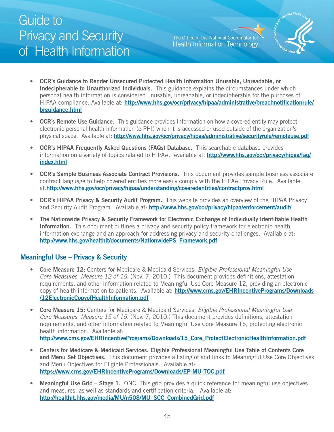The Office of the National Coordinator for **Health Information Technology** 



- <span id="page-44-0"></span>**OCR's Guidance to Render Unsecured Protected Health Information Unusable, Unreadable, or Indecipherable to Unauthorized Individuals.** This guidance explains the circumstances under which personal health information is considered unusable, unreadable, or indecipherable for the purposes of HIPAA compliance. Available at: **[http://www.hhs.gov/ocr/privacy/hipaa/administrative/breachnotificationrule/](http://www.hhs.gov/ocr/privacy/hipaa/administrative/breachnotificationrule/brguidance.html)  [brguidance.html](http://www.hhs.gov/ocr/privacy/hipaa/administrative/breachnotificationrule/brguidance.html)**
- **OCR's Remote Use Guidance.** This guidance provides information on how a covered entity may protect electronic personal health information (e-PHI) when it is accessed or used outside of the organization's physical space. Available at**: <http://www.hhs.gov/ocr/privacy/hipaa/administrative/securityrule/remoteuse.pdf>**
- **OCR's HIPAA Frequently Asked Questions (FAQs) Database.** This searchable database provides information on a variety of topics related to HIPAA. Available at: **[http://www.hhs.gov/ocr/privacy/hipaa/faq/](http://www.hhs.gov/ocr/privacy/hipaa/faq/index.html) [index.html](http://www.hhs.gov/ocr/privacy/hipaa/faq/index.html)**
- • **OCR's Sample Business Associate Contract Provisions.** This document provides sample business associate contract language to help covered entities more easily comply with the HIPAA Privacy Rule. Available at:**<http://www.hhs.gov/ocr/privacy/hipaa/understanding/coveredentities/contractprov.html>**
- **OCR's HIPAA Privacy & Security Audit Program.** This website provides an overview of the HIPAA Privacy and Security Audit Program. Available at: **<http://www.hhs.gov/ocr/privacy/hipaa/enforcement/audit/>**
- • **The Nationwide Privacy & Security Framework for Electronic Exchange of Individually Identifiable Health Information.** This document outlines a privacy and security policy framework for electronic health information exchange and an approach for addressing privacy and security challenges. Available at: **[http://www.hhs.gov/healthit/documents/NationwidePS\\_Framework.pdf](http://www.hhs.gov/healthit/documents/NationwidePS_Framework.pdf)**

#### **Meaningful Use – Privacy & Security**

- **Core Measure 12:** Centers for Medicare & Medicaid Services. Eligible Professional Meaningful Use Core Measures. Measure 12 of 15. (Nov. 7, 2010.) This document provides definitions, attestation requirements, and other information related to Meaningful Use Core Measure 12, providing an electronic copy of health information to patients. Available at: **[http://www.cms.gov/EHRIncentivePrograms/Downloads](http://www.cms.gov/EHRIncentivePrograms/Downloads/12ElectronicCopyofHealthInformation.pdf) [/12ElectronicCopyofHealthInformation.pdf](http://www.cms.gov/EHRIncentivePrograms/Downloads/12ElectronicCopyofHealthInformation.pdf)**
- **Core Measure 15:** Centers for Medicare & Medicaid Services. Eligible Professional Meaningful Use Core Measures. Measure 15 of 15. (Nov. 7, 2010.) This document provides definitions, attestation requirements, and other information related to Meaningful Use Core Measure 15, protecting electronic health information. Available at: **[http://www.cms.gov/EHRIncentivePrograms/Downloads/15\\_Core\\_ProtectElectronicHealthInformation.pdf](http://www.cms.gov/EHRIncentivePrograms/Downloads/15_Core_ProtectElectronicHealthInformation.pdf)**
- • **Centers for Medicare & Medicaid Services. Eligible Professional Meaningful Use Table of Contents Core and Menu Set Objectives.** This document provides a listing of and links to Meaningful Use Core Objectives and Menu Objectives for Eligible Professionals. Available at: **<https://www.cms.gov/EHRIncentivePrograms/Downloads/EP-MU-TOC.pdf>**
- **Meaningful Use Grid Stage 1.** ONC. This grid provides a quick reference for meaningful use objectives and measures, as well as standards and certification criteria. Available at: **[http://healthit.hhs.gov/media/MU/n508/MU\\_SCC\\_CombinedGrid.pdf](http://healthit.hhs.gov/media/MU/n508/MU_SCC_CombinedGrid.pdf)**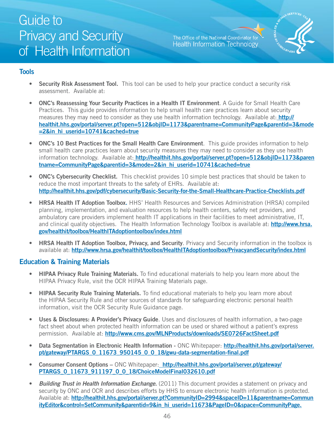The Office of the National Coordinator for **Health Information Technology** 



### <span id="page-45-0"></span>**Tools**

- assessment. Available at: **Security Risk Assessment Tool.** This tool can be used to help your practice conduct a security risk
- **ONC's Reassessing Your Security Practices in a Health IT Environment.** A Guide for Small Health Care Practices. This guide provides information to help small health care practices learn about security measures they may need to consider as they use health information technology. Available at: **[http://](http://healthit.hhs.gov/portal/server.pt?open=512&objID=1173&parentname=CommunityPage&parentid=3&mode=2&in_hi_userid=10741&cached=true)  [healthit.hhs.gov/portal/server.pt?open=512&objID=1173&parentname=CommunityPage&parentid=3&mode](http://healthit.hhs.gov/portal/server.pt?open=512&objID=1173&parentname=CommunityPage&parentid=3&mode=2&in_hi_userid=10741&cached=true)  [=2&in\\_hi\\_userid=10741&cached=true](http://healthit.hhs.gov/portal/server.pt?open=512&objID=1173&parentname=CommunityPage&parentid=3&mode=2&in_hi_userid=10741&cached=true)**
- **ONC's 10 Best Practices for the Small Health Care Environment**. This guide provides information to help small health care practices learn about security measures they may need to consider as they use health information technology. Available at: **[http://healthit.hhs.gov/portal/server.pt?open=512&objID=1173&paren](http://healthit.hhs.gov/pdf/cybersecurity/Basic-Security-for-the-Small-Healthcare-Practice-Checklists.pdf)  [tname=CommunityPage&parentid=3&mode=2&in\\_hi\\_userid=10741&cached=true](http://healthit.hhs.gov/pdf/cybersecurity/Basic-Security-for-the-Small-Healthcare-Practice-Checklists.pdf)**
- reduce the most important threats to the safety of EHRs. Available at: • **ONC's Cybersecurity Checklist.** This checklist provides 10 simple best practices that should be taken to **<http://healthit.hhs.gov/pdf/cybersecurity/Basic-Security-for-the-Small-Healthcare-Practice-Checklists.pdf>**
- **HRSA Health IT Adoption Toolbox.** HHS' Health Resources and Services Administration (HRSA) compiled planning, implementation, and evaluation resources to help health centers, safety net providers, and ambulatory care providers implement health IT applications in their facilities to meet administrative, IT, and clinical quality objectives. The Health Information Technology Toolbox is available at: **[http://www.hrsa.](http://www.hrsa.gov/healthit/toolbox/HealthITAdoptiontoolbox/index.html)  [gov/healthit/toolbox/HealthITAdoptiontoolbox/index.html](http://www.hrsa.gov/healthit/toolbox/HealthITAdoptiontoolbox/index.html)**
- **HRSA Health IT Adoption Toolbox, Privacy, and Security**. Privacy and Security information in the toolbox is available at: **<http://www.hrsa.gov/healthit/toolbox/HealthITAdoptiontoolbox/PrivacyandSecurity/index.html>**

#### **Education & Training Materials**

- **HIPAA Privacy Rule Training Materials.** To find educational materials to help you learn more about the HIPAA Privacy Rule, visit the OCR HIPAA Training Materials page.
- **HIPAA Security Rule Training Materials.** To find educational materials to help you learn more about the HIPAA Security Rule and other sources of standards for safeguarding electronic personal health information, visit the OCR Security Rule Guidance page.
- • **Uses & Disclosures: A Provider's Privacy Guide**. Uses and disclosures of health information, a two-page fact sheet about when protected health information can be used or shared without a patient's express permission. Available at: **<http://www.cms.gov/MLNProducts/downloads/SE0726FactSheet.pdf>**
- **Data Segmentation in Electronic Health Information ONC Whitepaper: http://healthit.hhs.gov/portal/server. [pt/gateway/PTARGS\\_0\\_11673\\_950145\\_0\\_0\\_18/gwu-data-segmentation-final.pdf](http://healthit.hhs.gov/portal/server.pt/gateway/PTARGS_0_11673_950145_0_0_18/gwu-data-segmentation-final.pdf )**
- **Consumer Consent Options ONC Whitepaper: [http://healthit.hhs.gov/portal/server.pt/gateway/](http://healthit.hhs.gov/portal/server.pt/gateway/ PTARGS_0_11673_911197_0_0_18/ChoiceModelFinal032610.pdf) [PTARGS\\_0\\_11673\\_911197\\_0\\_0\\_18/ChoiceModelFinal032610.pdf](http://healthit.hhs.gov/portal/server.pt/gateway/ PTARGS_0_11673_911197_0_0_18/ChoiceModelFinal032610.pdf)**
- security by ONC and OCR and describes efforts by HHS to ensure electronic health information is protected. **Building Trust in Health Information Exchange.** (2011) This document provides a statement on privacy and Available at: http://healthit.hhs.gov/portal/server.pt?CommunityID=2994&spaceID=11&parentname=Commun **[ityEditor&control=SetCommunity&parentid=9&in\\_hi\\_userid=11673&PageID=0&space=CommunityPage.](http://healthit.hhs.gov/portal/server.pt?CommunityID=2994&spaceID=11&parentname=CommunityEditor&control=SetCommunity&parentid=9&in_hi_userid=11673&PageID=0&space=CommunityPage)**